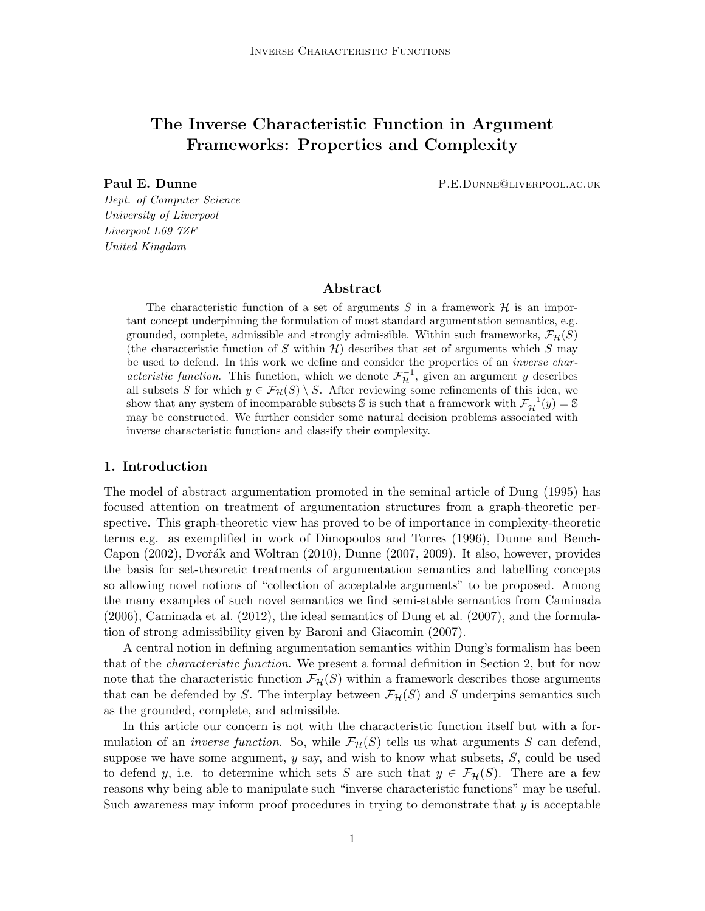## The Inverse Characteristic Function in Argument Frameworks: Properties and Complexity

Paul E. Dunne **P.E.Dunne** P.E.Dunne@Liverpool.ac.uk

Dept. of Computer Science University of Liverpool Liverpool L69 7ZF United Kingdom

### Abstract

The characteristic function of a set of arguments S in a framework  $H$  is an important concept underpinning the formulation of most standard argumentation semantics, e.g. grounded, complete, admissible and strongly admissible. Within such frameworks,  $\mathcal{F}_{\mathcal{H}}(S)$ (the characteristic function of S within  $\mathcal{H}$ ) describes that set of arguments which S may be used to defend. In this work we define and consider the properties of an inverse characteristic function. This function, which we denote  $\mathcal{F}_{\mathcal{H}}^{-1}$ , given an argument y describes all subsets S for which  $y \in \mathcal{F}_H(S) \setminus S$ . After reviewing some refinements of this idea, we show that any system of incomparable subsets  $\mathbb S$  is such that a framework with  $\mathcal{F}_{\mathcal{H}}^{-1}(y) = \mathbb S$ may be constructed. We further consider some natural decision problems associated with inverse characteristic functions and classify their complexity.

### 1. Introduction

The model of abstract argumentation promoted in the seminal article of Dung (1995) has focused attention on treatment of argumentation structures from a graph-theoretic perspective. This graph-theoretic view has proved to be of importance in complexity-theoretic terms e.g. as exemplified in work of Dimopoulos and Torres (1996), Dunne and Bench-Capon (2002), Dvořák and Woltran (2010), Dunne (2007, 2009). It also, however, provides the basis for set-theoretic treatments of argumentation semantics and labelling concepts so allowing novel notions of "collection of acceptable arguments" to be proposed. Among the many examples of such novel semantics we find semi-stable semantics from Caminada (2006), Caminada et al. (2012), the ideal semantics of Dung et al. (2007), and the formulation of strong admissibility given by Baroni and Giacomin (2007).

A central notion in defining argumentation semantics within Dung's formalism has been that of the characteristic function. We present a formal definition in Section 2, but for now note that the characteristic function  $\mathcal{F}_{\mathcal{H}}(S)$  within a framework describes those arguments that can be defended by S. The interplay between  $\mathcal{F}_{\mathcal{H}}(S)$  and S underpins semantics such as the grounded, complete, and admissible.

In this article our concern is not with the characteristic function itself but with a formulation of an *inverse function*. So, while  $\mathcal{F}_{\mathcal{H}}(S)$  tells us what arguments S can defend, suppose we have some argument,  $y$  say, and wish to know what subsets,  $S$ , could be used to defend y, i.e. to determine which sets S are such that  $y \in \mathcal{F}_{\mathcal{H}}(S)$ . There are a few reasons why being able to manipulate such "inverse characteristic functions" may be useful. Such awareness may inform proof procedures in trying to demonstrate that  $y$  is acceptable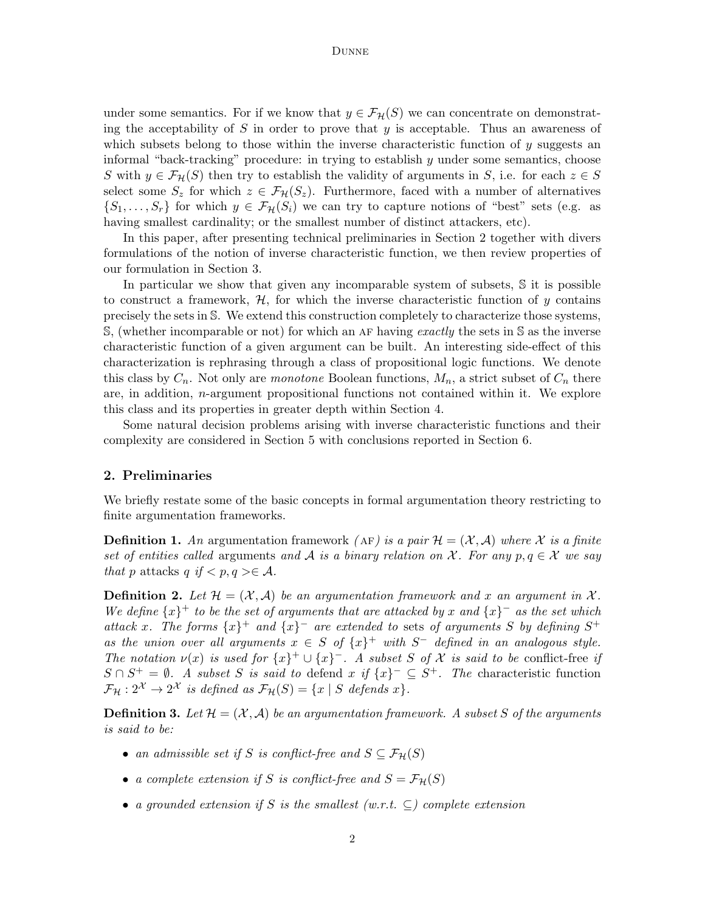under some semantics. For if we know that  $y \in \mathcal{F}_{\mathcal{H}}(S)$  we can concentrate on demonstrating the acceptability of S in order to prove that  $y$  is acceptable. Thus an awareness of which subsets belong to those within the inverse characteristic function of y suggests an informal "back-tracking" procedure: in trying to establish  $y$  under some semantics, choose S with  $y \in \mathcal{F}_{\mathcal{H}}(S)$  then try to establish the validity of arguments in S, i.e. for each  $z \in S$ select some  $S_z$  for which  $z \in \mathcal{F}_{\mathcal{H}}(S_z)$ . Furthermore, faced with a number of alternatives  $\{S_1,\ldots,S_r\}$  for which  $y \in \mathcal{F}_{\mathcal{H}}(S_i)$  we can try to capture notions of "best" sets (e.g. as having smallest cardinality; or the smallest number of distinct attackers, etc).

In this paper, after presenting technical preliminaries in Section 2 together with divers formulations of the notion of inverse characteristic function, we then review properties of our formulation in Section 3.

In particular we show that given any incomparable system of subsets, S it is possible to construct a framework,  $\mathcal{H}$ , for which the inverse characteristic function of y contains precisely the sets in S. We extend this construction completely to characterize those systems, S, (whether incomparable or not) for which an AF having exactly the sets in S as the inverse characteristic function of a given argument can be built. An interesting side-effect of this characterization is rephrasing through a class of propositional logic functions. We denote this class by  $C_n$ . Not only are *monotone* Boolean functions,  $M_n$ , a strict subset of  $C_n$  there are, in addition,  $n$ -argument propositional functions not contained within it. We explore this class and its properties in greater depth within Section 4.

Some natural decision problems arising with inverse characteristic functions and their complexity are considered in Section 5 with conclusions reported in Section 6.

### 2. Preliminaries

We briefly restate some of the basic concepts in formal argumentation theory restricting to finite argumentation frameworks.

**Definition 1.** An argumentation framework (AF) is a pair  $\mathcal{H} = (\mathcal{X}, \mathcal{A})$  where X is a finite set of entities called arguments and A is a binary relation on X. For any  $p, q \in \mathcal{X}$  we say that p attacks q if  $\langle p, q \rangle \in \mathcal{A}$ .

**Definition 2.** Let  $\mathcal{H} = (\mathcal{X}, \mathcal{A})$  be an argumentation framework and x an argument in X. We define  $\{x\}^+$  to be the set of arguments that are attacked by x and  $\{x\}^-$  as the set which attack x. The forms  $\{x\}^+$  and  $\{x\}^-$  are extended to sets of arguments S by defining  $S^+$ as the union over all arguments  $x \in S$  of  $\{x\}^+$  with  $S^-$  defined in an analogous style. The notation  $\nu(x)$  is used for  $\{x\}^+\cup\{x\}^-$ . A subset S of X is said to be conflict-free if  $S \cap S^+ = \emptyset$ . A subset S is said to defend x if  $\{x\}^- \subseteq S^+$ . The characteristic function  $\mathcal{F}_{\mathcal{H}}: 2^{\mathcal{X}} \to 2^{\mathcal{X}}$  is defined as  $\mathcal{F}_{\mathcal{H}}(S) = \{x \mid S \text{ depends } x\}.$ 

**Definition 3.** Let  $\mathcal{H} = (\mathcal{X}, \mathcal{A})$  be an argumentation framework. A subset S of the arguments is said to be:

- an admissible set if S is conflict-free and  $S \subseteq \mathcal{F}_{\mathcal{H}}(S)$
- a complete extension if S is conflict-free and  $S = \mathcal{F}_{\mathcal{H}}(S)$
- a grounded extension if S is the smallest  $(w.r.t. \subset)$  complete extension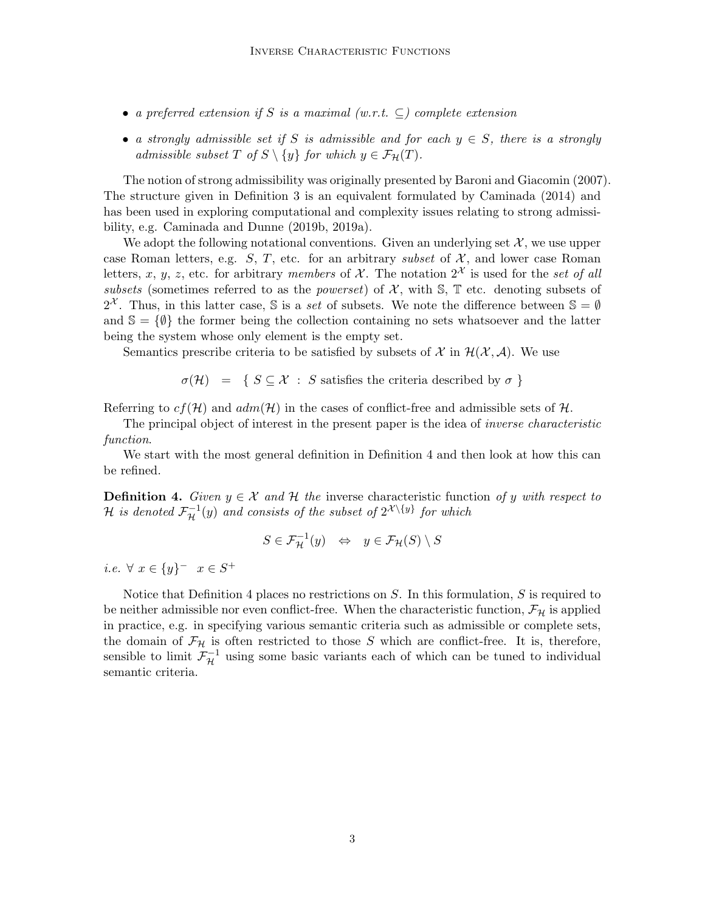- a preferred extension if S is a maximal  $(w.r.t. \subseteq)$  complete extension
- a strongly admissible set if S is admissible and for each  $y \in S$ , there is a strongly admissible subset T of  $S \setminus \{y\}$  for which  $y \in \mathcal{F}_{\mathcal{H}}(T)$ .

The notion of strong admissibility was originally presented by Baroni and Giacomin (2007). The structure given in Definition 3 is an equivalent formulated by Caminada (2014) and has been used in exploring computational and complexity issues relating to strong admissibility, e.g. Caminada and Dunne (2019b, 2019a).

We adopt the following notational conventions. Given an underlying set  $\mathcal{X}$ , we use upper case Roman letters, e.g.  $S, T$ , etc. for an arbitrary subset of  $X$ , and lower case Roman letters, x, y, z, etc. for arbitrary members of X. The notation  $2^{\mathcal{X}}$  is used for the set of all subsets (sometimes referred to as the *powerset*) of  $\mathcal{X}$ , with  $\mathbb{S}$ ,  $\mathbb{T}$  etc. denoting subsets of  $2^{\mathcal{X}}$ . Thus, in this latter case, S is a set of subsets. We note the difference between  $\mathbb{S} = \emptyset$ and  $\mathcal{S} = \{\emptyset\}$  the former being the collection containing no sets whatsoever and the latter being the system whose only element is the empty set.

Semantics prescribe criteria to be satisfied by subsets of X in  $\mathcal{H}(\mathcal{X}, \mathcal{A})$ . We use

 $\sigma(\mathcal{H}) = \{ S \subseteq \mathcal{X} : S \text{ satisfies the criteria described by } \sigma \}$ 

Referring to  $cf(\mathcal{H})$  and  $adm(\mathcal{H})$  in the cases of conflict-free and admissible sets of  $\mathcal{H}$ .

The principal object of interest in the present paper is the idea of inverse characteristic function.

We start with the most general definition in Definition 4 and then look at how this can be refined.

**Definition 4.** Given  $y \in \mathcal{X}$  and  $\mathcal{H}$  the inverse characteristic function of y with respect to  ${\mathcal H}$  is denoted  ${\mathcal F}_{\mathcal H}^{-1}(y)$  and consists of the subset of  $2^{{\mathcal X}\setminus\{y\}}$  for which

$$
S \in \mathcal{F}^{-1}_{\mathcal{H}}(y) \quad \Leftrightarrow \quad y \in \mathcal{F}_{\mathcal{H}}(S) \setminus S
$$

*i.e.*  $\forall x \in \{y\}^ x \in S^+$ 

Notice that Definition 4 places no restrictions on  $S$ . In this formulation,  $S$  is required to be neither admissible nor even conflict-free. When the characteristic function,  $\mathcal{F}_{\mathcal{H}}$  is applied in practice, e.g. in specifying various semantic criteria such as admissible or complete sets, the domain of  $\mathcal{F}_{\mathcal{H}}$  is often restricted to those S which are conflict-free. It is, therefore, sensible to limit  $\mathcal{F}_{\mathcal{H}}^{-1}$  using some basic variants each of which can be tuned to individual semantic criteria.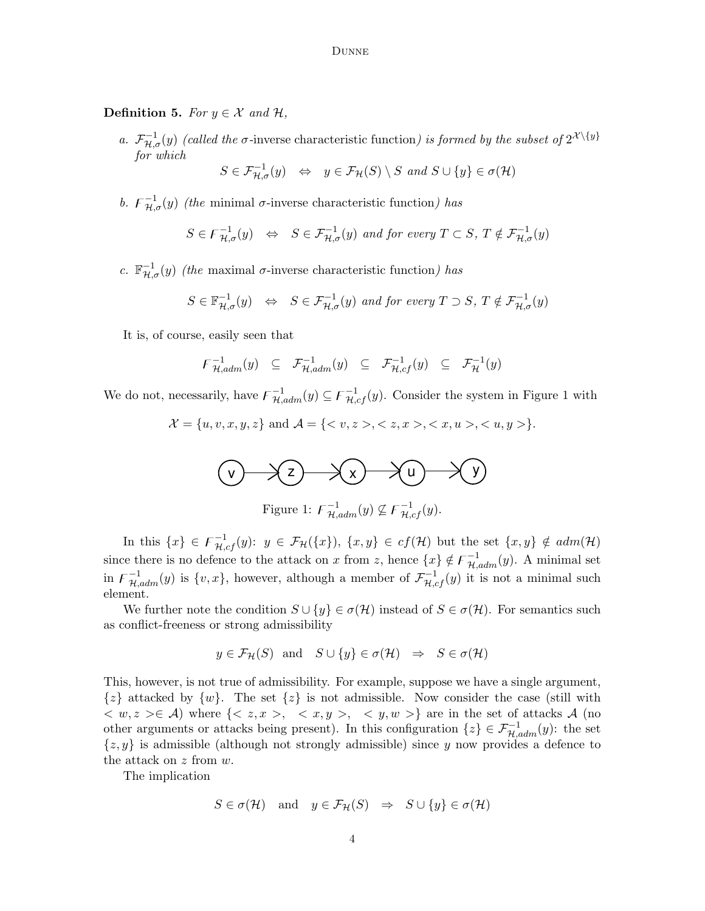**Definition 5.** For  $y \in \mathcal{X}$  and  $\mathcal{H}$ ,

a.  $\mathcal{F}_{\mathcal{H},\sigma}^{-1}(y)$  (called the  $\sigma$ -inverse characteristic function) is formed by the subset of  $2^{\mathcal{X}\setminus\{y\}}$ for which

$$
S \in \mathcal{F}_{\mathcal{H},\sigma}^{-1}(y) \iff y \in \mathcal{F}_{\mathcal{H}}(S) \setminus S \text{ and } S \cup \{y\} \in \sigma(\mathcal{H})
$$

b.  $F_{\mathcal{H},\sigma}^{-1}(y)$  (the minimal  $\sigma$ -inverse characteristic function) has

$$
S \in \mathcal{F}_{\mathcal{H},\sigma}^{-1}(y) \iff S \in \mathcal{F}_{\mathcal{H},\sigma}^{-1}(y) \text{ and for every } T \subset S, T \notin \mathcal{F}_{\mathcal{H},\sigma}^{-1}(y)
$$

c.  $\mathbb{F}_{\mathcal{H},\sigma}^{-1}(y)$  (the maximal  $\sigma$ -inverse characteristic function) has

$$
S \in \mathbb{F}_{\mathcal{H},\sigma}^{-1}(y) \iff S \in \mathcal{F}_{\mathcal{H},\sigma}^{-1}(y) \text{ and for every } T \supset S, T \notin \mathcal{F}_{\mathcal{H},\sigma}^{-1}(y)
$$

It is, of course, easily seen that

$$
\mathcal{F}_{\mathcal{H},adm}^{-1}(y) \subseteq \mathcal{F}_{\mathcal{H},adm}^{-1}(y) \subseteq \mathcal{F}_{\mathcal{H},cf}^{-1}(y) \subseteq \mathcal{F}_{\mathcal{H}}^{-1}(y)
$$

We do not, necessarily, have  $\overline{F}_{\mathcal{H},adm}^{-1}(y) \subseteq \overline{F}_{\mathcal{H},cf}^{-1}(y)$ . Consider the system in Figure 1 with

 $\mathcal{X} = \{u, v, x, y, z\}$  and  $\mathcal{A} = \{< v, z >, < z, x >, < x, u >, < u, y > \}.$ 

$$
\bigcirc \qquad \qquad \searrow \qquad \searrow \qquad \searrow \qquad \searrow \qquad \searrow \qquad \searrow \qquad \searrow \qquad \searrow \qquad \searrow
$$
\n
$$
\text{Figure 1: } F^{-1}_{\mathcal{H},\text{adm}}(y) \nsubseteq F^{-1}_{\mathcal{H},cf}(y).
$$

In this  $\{x\} \in \mathcal{F}^{-1}_{\mathcal{H},cf}(y)$ :  $y \in \mathcal{F}_{\mathcal{H}}(\{x\})$ ,  $\{x,y\} \in cf(\mathcal{H})$  but the set  $\{x,y\} \notin adm(\mathcal{H})$ since there is no defence to the attack on x from z, hence  $\{x\} \notin \mathcal{F}_{\mathcal{H},adm}^{-1}(y)$ . A minimal set in  $\overline{F}_{\mathcal{H},adm}^{-1}(y)$  is  $\{v,x\}$ , however, although a member of  $\mathcal{F}_{\mathcal{H},cf}^{-1}(y)$  it is not a minimal such element.

We further note the condition  $S \cup \{y\} \in \sigma(\mathcal{H})$  instead of  $S \in \sigma(\mathcal{H})$ . For semantics such as conflict-freeness or strong admissibility

$$
y \in \mathcal{F}_{\mathcal{H}}(S)
$$
 and  $S \cup \{y\} \in \sigma(\mathcal{H}) \Rightarrow S \in \sigma(\mathcal{H})$ 

This, however, is not true of admissibility. For example, suppose we have a single argument,  $\{z\}$  attacked by  $\{w\}$ . The set  $\{z\}$  is not admissible. Now consider the case (still with  $\langle w, z \rangle \in \mathcal{A}$ ) where  $\{ \langle z, x \rangle, \langle z, y \rangle, \langle z, y \rangle \}$  are in the set of attacks A (no other arguments or attacks being present). In this configuration  $\{z\} \in \mathcal{F}_{\mathcal{H},adm}^{-1}(y)$ : the set  $\{z, y\}$  is admissible (although not strongly admissible) since y now provides a defence to the attack on  $z$  from  $w$ .

The implication

$$
S \in \sigma(\mathcal{H}) \quad \text{and} \quad y \in \mathcal{F}_{\mathcal{H}}(S) \quad \Rightarrow \quad S \cup \{y\} \in \sigma(\mathcal{H})
$$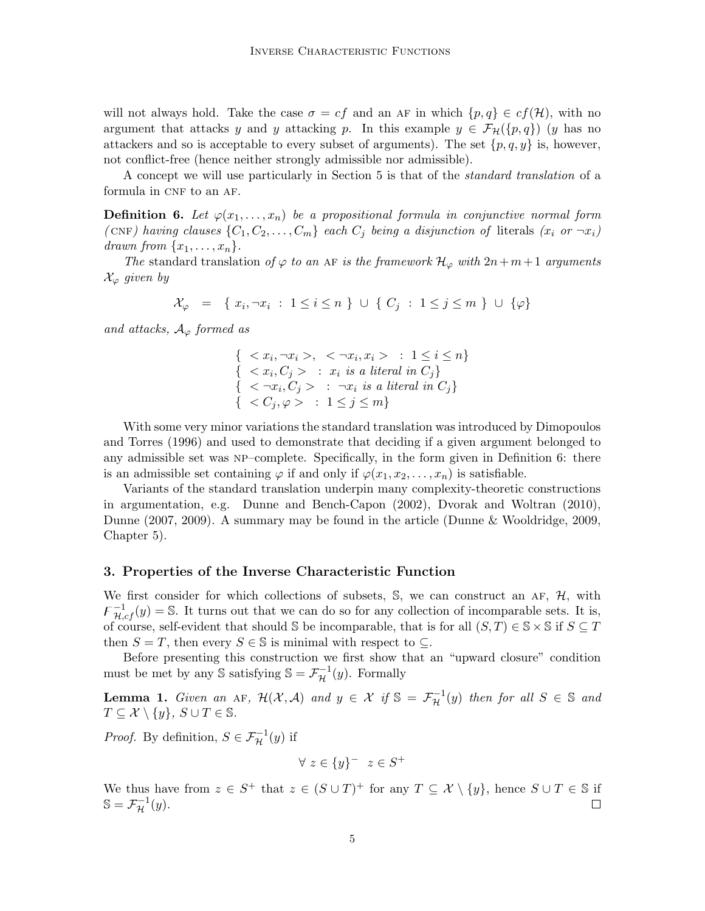will not always hold. Take the case  $\sigma = cf$  and an AF in which  $\{p,q\} \in cf(\mathcal{H})$ , with no argument that attacks y and y attacking p. In this example  $y \in \mathcal{F}_{\mathcal{H}}(\{p,q\})$  (y has no attackers and so is acceptable to every subset of arguments). The set  $\{p, q, y\}$  is, however, not conflict-free (hence neither strongly admissible nor admissible).

A concept we will use particularly in Section 5 is that of the standard translation of a formula in CNF to an AF.

**Definition 6.** Let  $\varphi(x_1, \ldots, x_n)$  be a propositional formula in conjunctive normal form (CNF) having clauses  $\{C_1, C_2, \ldots, C_m\}$  each  $C_j$  being a disjunction of literals  $(x_i \text{ or } \neg x_i)$ drawn from  $\{x_1, \ldots, x_n\}$ .

The standard translation of  $\varphi$  to an AF is the framework  $\mathcal{H}_{\varphi}$  with  $2n+m+1$  arguments  $\mathcal{X}_{\varphi}$  given by

$$
\mathcal{X}_{\varphi} = \{ x_i, \neg x_i \; : \; 1 \leq i \leq n \} \cup \{ C_j \; : \; 1 \leq j \leq m \} \cup \{ \varphi \}
$$

and attacks,  $A_{\varphi}$  formed as

$$
\begin{aligned}\n\{ & < x_i, \neg x_i > , < \neg x_i, x_i > : 1 \leq i \leq n\} \\
\{ & < x_i, C_j > : x_i \text{ is a literal in } C_j\} \\
\{ & < \neg x_i, C_j > : \neg x_i \text{ is a literal in } C_j\} \\
\{ & < C_j, \varphi > : 1 \leq j \leq m\}\n\end{aligned}
$$

With some very minor variations the standard translation was introduced by Dimopoulos and Torres (1996) and used to demonstrate that deciding if a given argument belonged to any admissible set was NP–complete. Specifically, in the form given in Definition 6: there is an admissible set containing  $\varphi$  if and only if  $\varphi(x_1, x_2, \ldots, x_n)$  is satisfiable.

Variants of the standard translation underpin many complexity-theoretic constructions in argumentation, e.g. Dunne and Bench-Capon (2002), Dvorak and Woltran (2010), Dunne (2007, 2009). A summary may be found in the article (Dunne & Wooldridge, 2009, Chapter 5).

### 3. Properties of the Inverse Characteristic Function

We first consider for which collections of subsets,  $\mathcal{S}$ , we can construct an AF,  $\mathcal{H}$ , with  $\bar{F}_{H,cf}^{-1}(y) = \mathbb{S}$ . It turns out that we can do so for any collection of incomparable sets. It is, of course, self-evident that should S be incomparable, that is for all  $(S,T) \in \mathbb{S} \times \mathbb{S}$  if  $S \subseteq T$ then  $S = T$ , then every  $S \in \mathbb{S}$  is minimal with respect to  $\subseteq$ .

Before presenting this construction we first show that an "upward closure" condition must be met by any  $\mathbb{S}$  satisfying  $\mathbb{S} = \mathcal{F}_{\mathcal{H}}^{-1}(y)$ . Formally

**Lemma 1.** Given an AF,  $\mathcal{H}(\mathcal{X}, \mathcal{A})$  and  $y \in \mathcal{X}$  if  $\mathbb{S} = \mathcal{F}_{\mathcal{H}}^{-1}(y)$  then for all  $S \in \mathbb{S}$  and  $T \subseteq \mathcal{X} \setminus \{y\}, S \cup T \in \mathbb{S}.$ 

*Proof.* By definition,  $S \in \mathcal{F}_{\mathcal{H}}^{-1}(y)$  if

$$
\forall \ z \in \{y\}^- \ z \in S^+
$$

We thus have from  $z \in S^+$  that  $z \in (S \cup T)^+$  for any  $T \subseteq \mathcal{X} \setminus \{y\}$ , hence  $S \cup T \in \mathbb{S}$  if  $\mathbb{S} = \mathcal{F}^{-1}_{\mathcal{H}}(y).$  $\Box$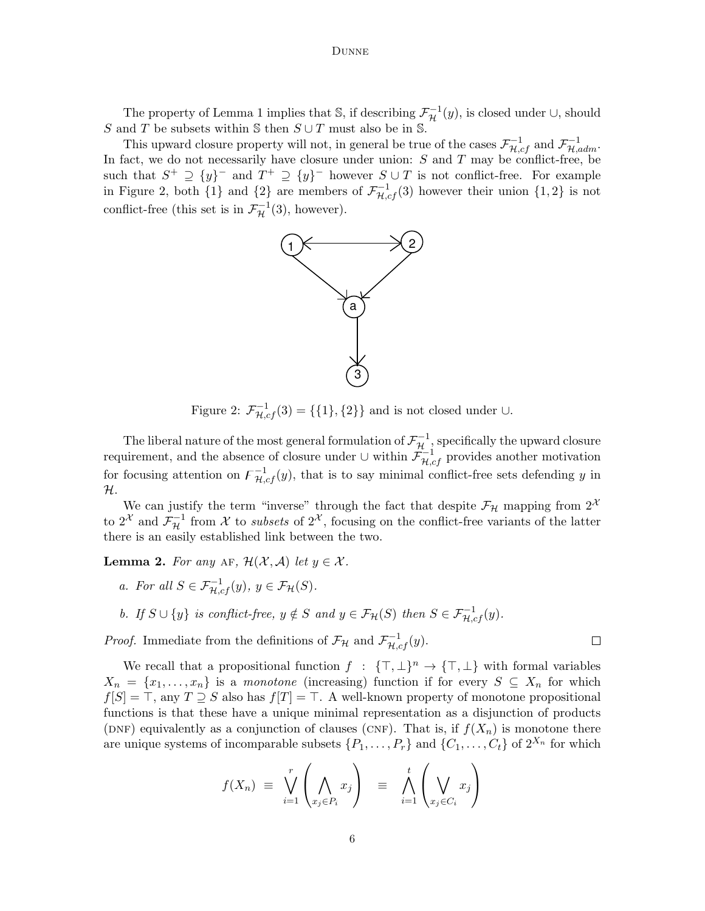The property of Lemma 1 implies that  $\mathbb{S}$ , if describing  $\mathcal{F}_{\mathcal{H}}^{-1}(y)$ , is closed under  $\cup$ , should S and T be subsets within S then  $S \cup T$  must also be in S.

This upward closure property will not, in general be true of the cases  $\mathcal{F}_{\mathcal{H},cf}^{-1}$  and  $\mathcal{F}_{\mathcal{H},adm}^{-1}$ . In fact, we do not necessarily have closure under union:  $S$  and  $T$  may be conflict-free, be such that  $S^+ \supseteq {y}^-$  and  $T^+ \supseteq {y}^-$  however  $S \cup T$  is not conflict-free. For example in Figure 2, both  $\{1\}$  and  $\{2\}$  are members of  $\mathcal{F}_{\mathcal{H},cf}^{-1}(3)$  however their union  $\{1,2\}$  is not conflict-free (this set is in  $\mathcal{F}_{\mathcal{H}}^{-1}(3)$ , however).



Figure 2:  $\mathcal{F}_{\mathcal{H},cf}^{-1}(3) = \{\{1\},\{2\}\}\$ and is not closed under ∪.

The liberal nature of the most general formulation of  $\mathcal{F}_{\mathcal{H}}^{-1}$ , specifically the upward closure requirement, and the absence of closure under  $\cup$  within  $\mathcal{F}^{-1}_{\mathcal{H},cf}$  provides another motivation for focusing attention on  $\overline{F}_{\mathcal{H},cf}^{-1}(y)$ , that is to say minimal conflict-free sets defending y in H.

We can justify the term "inverse" through the fact that despite  $\mathcal{F}_{\mathcal{H}}$  mapping from  $2^{\mathcal{X}}$ to  $2^{\mathcal{X}}$  and  $\mathcal{F}_{\mathcal{H}}^{-1}$  from  $\mathcal X$  to *subsets* of  $2^{\mathcal{X}}$ , focusing on the conflict-free variants of the latter there is an easily established link between the two.

**Lemma 2.** For any AF,  $\mathcal{H}(\mathcal{X}, \mathcal{A})$  let  $y \in \mathcal{X}$ .

- a. For all  $S \in \mathcal{F}_{\mathcal{H},cf}^{-1}(y), y \in \mathcal{F}_{\mathcal{H}}(S)$ .
- b. If  $S \cup \{y\}$  is conflict-free,  $y \notin S$  and  $y \in \mathcal{F}_{\mathcal{H}}(S)$  then  $S \in \mathcal{F}_{\mathcal{H},cf}^{-1}(y)$ .

*Proof.* Immediate from the definitions of  $\mathcal{F}_{\mathcal{H}}$  and  $\mathcal{F}_{\mathcal{H},cf}^{-1}(y)$ .

We recall that a propositional function  $f : {\{\top, \bot\}}^n \to {\{\top, \bot\}}$  with formal variables  $X_n = \{x_1, \ldots, x_n\}$  is a monotone (increasing) function if for every  $S \subseteq X_n$  for which  $f[S] = \top$ , any  $T \supseteq S$  also has  $f[T] = \top$ . A well-known property of monotone propositional functions is that these have a unique minimal representation as a disjunction of products (DNF) equivalently as a conjunction of clauses (CNF). That is, if  $f(X_n)$  is monotone there are unique systems of incomparable subsets  $\{P_1, \ldots, P_r\}$  and  $\{C_1, \ldots, C_t\}$  of  $2^{X_n}$  for which

$$
f(X_n) \equiv \bigvee_{i=1}^r \left( \bigwedge_{x_j \in P_i} x_j \right) \equiv \bigwedge_{i=1}^t \left( \bigvee_{x_j \in C_i} x_j \right)
$$

 $\Box$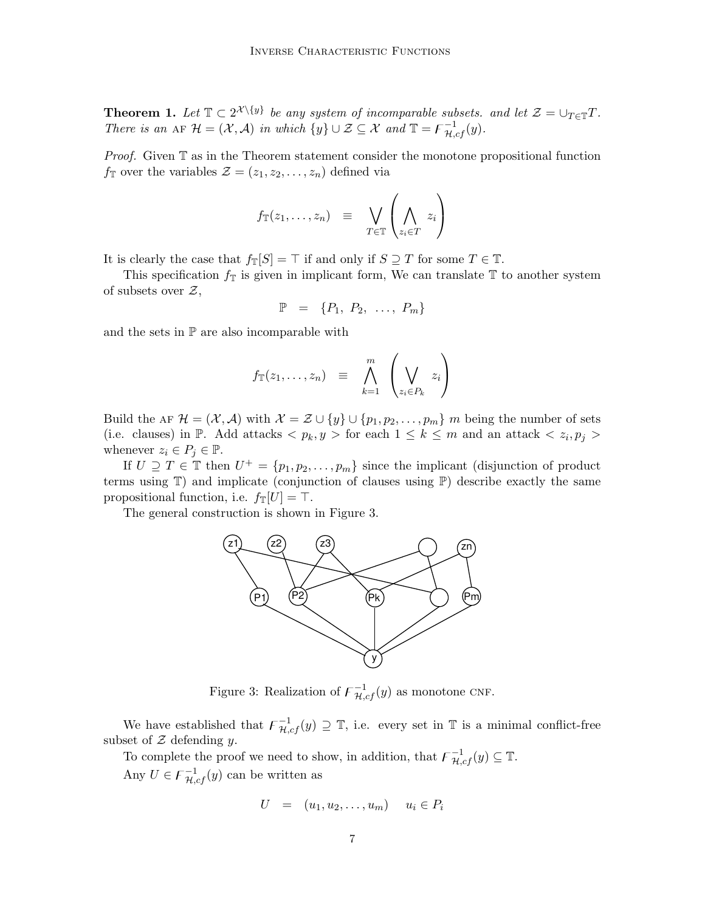**Theorem 1.** Let  $\mathbb{T} \subset 2^{\mathcal{X} \setminus \{y\}}$  be any system of incomparable subsets. and let  $\mathcal{Z} = \bigcup_{T \in \mathbb{T}} T$ . There is an AF  $\mathcal{H} = (\mathcal{X}, \mathcal{A})$  in which  $\{y\} \cup \mathcal{Z} \subseteq \mathcal{X}$  and  $\mathbb{T} = \mathcal{F}_{\mathcal{H},cf}^{-1}(y)$ .

*Proof.* Given  $\mathbb T$  as in the Theorem statement consider the monotone propositional function  $f_{\mathbb{T}}$  over the variables  $\mathcal{Z} = (z_1, z_2, \ldots, z_n)$  defined via

$$
f_{\mathbb{T}}(z_1,\ldots,z_n) \equiv \bigvee_{T \in \mathbb{T}} \left( \bigwedge_{z_i \in T} z_i \right)
$$

It is clearly the case that  $f_{\mathbb{T}}[S] = \top$  if and only if  $S \supseteq T$  for some  $T \in \mathbb{T}$ .

This specification  $f_{\mathbb{T}}$  is given in implicant form, We can translate  $\mathbb{T}$  to another system of subsets over  $\mathcal{Z},$ 

$$
\mathbb{P} = \{P_1, P_2, \ldots, P_m\}
$$

and the sets in P are also incomparable with

$$
f_{\mathbb{T}}(z_1,\ldots,z_n) \equiv \bigwedge_{k=1}^m \left(\bigvee_{z_i \in P_k} z_i\right)
$$

Build the AF  $\mathcal{H} = (\mathcal{X}, \mathcal{A})$  with  $\mathcal{X} = \mathcal{Z} \cup \{y\} \cup \{p_1, p_2, \dots, p_m\}$  m being the number of sets (i.e. clauses) in  $\mathbb{P}$ . Add attacks  $\langle p_k, y \rangle$  for each  $1 \leq k \leq m$  and an attack  $\langle z_i, p_j \rangle$ whenever  $z_i \in P_j \in \mathbb{P}$ .

If  $U \supseteq T \in \mathbb{T}$  then  $U^+ = \{p_1, p_2, \ldots, p_m\}$  since the implicant (disjunction of product terms using  $\mathbb{T}$ ) and implicate (conjunction of clauses using  $\mathbb{P}$ ) describe exactly the same propositional function, i.e.  $f_{\mathbb{T}}[U] = \top$ .

The general construction is shown in Figure 3.



Figure 3: Realization of  $\overline{F}_{\mathcal{H},cf}^{-1}(y)$  as monotone CNF.

We have established that  $\overline{F}_{\mathcal{H},cf}^{-1}(y) \supseteq \mathbb{T}$ , i.e. every set in  $\mathbb{T}$  is a minimal conflict-free subset of  $Z$  defending  $y$ .

To complete the proof we need to show, in addition, that  $\mathcal{F}^{-1}_{\mathcal{H},cf}(y) \subseteq \mathbb{T}$ . Any  $U \in \mathcal{F}^{-1}_{\mathcal{H},cf}(y)$  can be written as

$$
U = (u_1, u_2, \dots, u_m) \quad u_i \in P_i
$$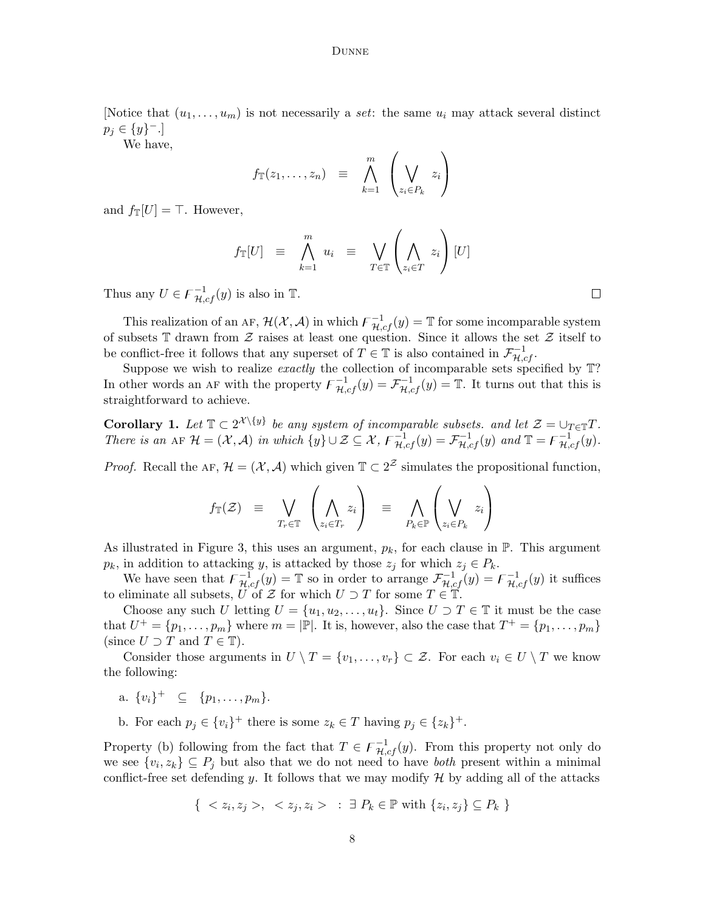[Notice that  $(u_1, \ldots, u_m)$  is not necessarily a set: the same  $u_i$  may attack several distinct  $p_j \in \{y\}^-$ .]

We have,

$$
f_{\mathbb{T}}(z_1,\ldots,z_n) \equiv \bigwedge_{k=1}^m \left(\bigvee_{z_i \in P_k} z_i\right)
$$

and  $f_{\mathbb{T}}[U] = \top$ . However,

$$
f_{\mathbb{T}}[U] \equiv \bigwedge_{k=1}^{m} u_{i} \equiv \bigvee_{T \in \mathbb{T}} \left( \bigwedge_{z_{i} \in T} z_{i} \right) [U]
$$

Thus any  $U \in \mathcal{F}^{-1}_{\mathcal{H},cf}(y)$  is also in  $\mathbb{T}$ .

This realization of an AF,  $\mathcal{H}(\mathcal{X}, \mathcal{A})$  in which  $\overline{F}_{\mathcal{H},cf}^{-1}(y) = \mathbb{T}$  for some incomparable system of subsets  $\mathbb T$  drawn from  $\mathcal Z$  raises at least one question. Since it allows the set  $\mathcal Z$  itself to be conflict-free it follows that any superset of  $T \in \mathbb{T}$  is also contained in  $\mathcal{F}^{-1}_{\mathcal{H},cf}$ .

Suppose we wish to realize *exactly* the collection of incomparable sets specified by  $\mathbb{T}$ ? In other words an AF with the property  $\mathcal{F}^{-1}_{\mathcal{H},cf}(y) = \mathcal{F}^{-1}_{\mathcal{H},cf}(y) = \mathbb{T}$ . It turns out that this is straightforward to achieve.

**Corollary 1.** Let  $\mathbb{T} \subset 2^{\mathcal{X} \setminus \{y\}}$  be any system of incomparable subsets. and let  $\mathcal{Z} = \bigcup_{T \in \mathbb{T}} T$ . There is an AF  $\mathcal{H} = (\mathcal{X}, \mathcal{A})$  in which  $\{y\} \cup \mathcal{Z} \subseteq \mathcal{X}, F^{-1}_{\mathcal{H},cf}(y) = \mathcal{F}^{-1}_{\mathcal{H},cf}(y)$  and  $\mathbb{T} = \mathcal{F}^{-1}_{\mathcal{H},cf}(y)$ .

*Proof.* Recall the AF,  $\mathcal{H} = (\mathcal{X}, \mathcal{A})$  which given  $\mathbb{T} \subset 2^{\mathcal{Z}}$  simulates the propositional function,

$$
f_{\mathbb{T}}(\mathcal{Z}) = \bigvee_{T_r \in \mathbb{T}} \left( \bigwedge_{z_i \in T_r} z_i \right) = \bigwedge_{P_k \in \mathbb{P}} \left( \bigvee_{z_i \in P_k} z_i \right)
$$

As illustrated in Figure 3, this uses an argument,  $p_k$ , for each clause in  $\mathbb{P}$ . This argument  $p_k$ , in addition to attacking y, is attacked by those  $z_j$  for which  $z_j \in P_k$ .

We have seen that  $\mathcal{F}^{-1}_{\mathcal{H},cf}(y) = \mathbb{T}$  so in order to arrange  $\mathcal{F}^{-1}_{\mathcal{H},cf}(y) = \mathcal{F}^{-1}_{\mathcal{H},cf}(y)$  it suffices to eliminate all subsets, U of Z for which  $U \supset T$  for some  $T \in \mathbb{T}$ .

Choose any such U letting  $U = \{u_1, u_2, \ldots, u_t\}$ . Since  $U \supset T \in \mathbb{T}$  it must be the case that  $U^+ = \{p_1, \ldots, p_m\}$  where  $m = |\mathbb{P}|$ . It is, however, also the case that  $T^+ = \{p_1, \ldots, p_m\}$ (since  $U \supset T$  and  $T \in \mathbb{T}$ ).

Consider those arguments in  $U \setminus T = \{v_1, \ldots, v_r\} \subset \mathcal{Z}$ . For each  $v_i \in U \setminus T$  we know the following:

a.  $\{v_i\}^+ \subseteq \{p_1, \ldots, p_m\}.$ 

b. For each  $p_j \in \{v_i\}^+$  there is some  $z_k \in T$  having  $p_j \in \{z_k\}^+$ .

Property (b) following from the fact that  $T \in \mathcal{F}^{-1}_{\mathcal{H},cf}(y)$ . From this property not only do we see  $\{v_i, z_k\} \subseteq P_j$  but also that we do not need to have *both* present within a minimal conflict-free set defending y. It follows that we may modify  $H$  by adding all of the attacks

$$
\{ \langle z_i, z_j \rangle, \langle z_j, z_i \rangle : \exists P_k \in \mathbb{P} \text{ with } \{z_i, z_j\} \subseteq P_k \}
$$

 $\Box$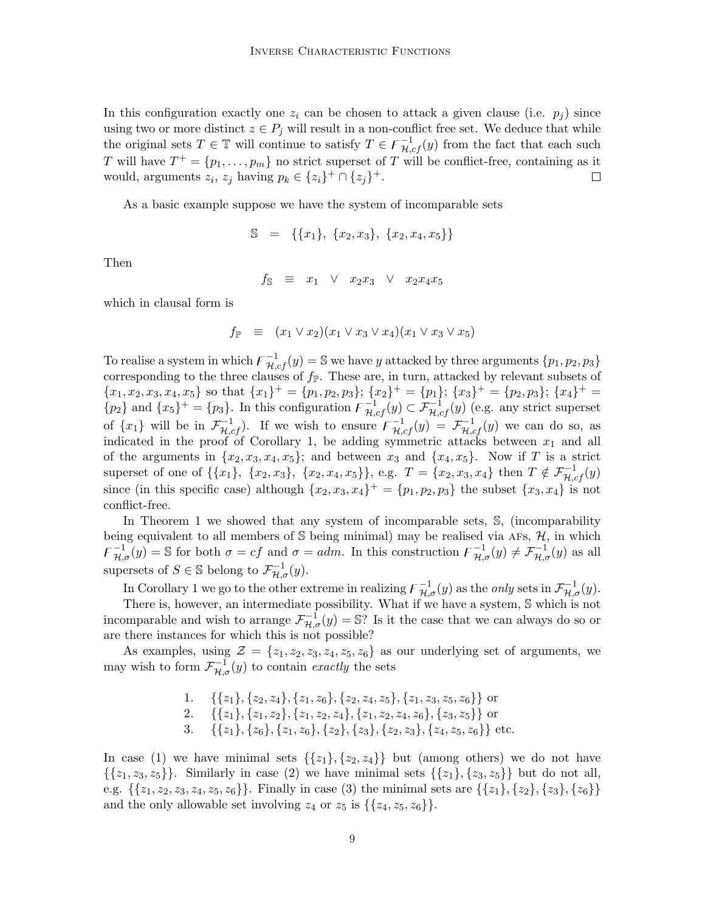In this configuration exactly one  $z_i$  can be chosen to attack a given clause (i.e.  $p_i$ ) since using two or more distinct  $z \in P_j$  will result in a non-conflict free set. We deduce that while the original sets  $T \in \mathbb{T}$  will continue to satisfy  $T \in \mathcal{F}^{-1}_{\mathcal{H},cf}(y)$  from the fact that each such T will have  $T^+ = \{p_1, \ldots, p_m\}$  no strict superset of T will be conflict-free, containing as it would, arguments  $z_i$ ,  $z_j$  having  $p_k \in \{z_i\}^+ \cap \{z_j\}^+$ .  $\Box$ 

As a basic example suppose we have the system of incomparable sets

$$
\mathbb{S} = \{\{x_1\}, \{x_2, x_3\}, \{x_2, x_4, x_5\}\}\
$$

Then

 $f_{\mathbb{S}} \equiv x_1 \quad \vee \quad x_2x_3 \quad \vee \quad x_2x_4x_5$ 

which in clausal form is

$$
f_{\mathbb{P}} \equiv (x_1 \vee x_2)(x_1 \vee x_3 \vee x_4)(x_1 \vee x_3 \vee x_5)
$$

To realise a system in which  $\overline{F}_{\mathcal{H},cf}^{-1}(y) = \mathbb{S}$  we have y attacked by three arguments  $\{p_1, p_2, p_3\}$ corresponding to the three clauses of  $f_{\mathbb{P}}$ . These are, in turn, attacked by relevant subsets of  ${x_1, x_2, x_3, x_4, x_5}$  so that  ${x_1}^+ = {p_1, p_2, p_3}$ ;  ${x_2}^+ = {p_1}$ ;  ${x_3}^+ = {p_2, p_3}$ ;  ${x_4}^+ =$  $\{p_2\}$  and  $\{x_5\}^+ = \{p_3\}$ . In this configuration  $\overline{\mathcal{F}_{\mathcal{H},cf}^{-1}(y)} \subset \overline{\mathcal{F}_{\mathcal{H},cf}^{-1}(y)}$  (e.g. any strict superset of  $\{x_1\}$  will be in  $\mathcal{F}_{\mathcal{H},cf}^{-1}$ . If we wish to ensure  $\overline{\mathcal{F}}_{\mathcal{H},cf}^{-1}(y) = \mathcal{F}_{\mathcal{H},cf}^{-1}(y)$  we can do so, as indicated in the proof of Corollary 1, be adding symmetric attacks between  $x_1$  and all of the arguments in  $\{x_2, x_3, x_4, x_5\}$ ; and between  $x_3$  and  $\{x_4, x_5\}$ . Now if T is a strict superset of one of  $\{\{x_1\}, \{x_2, x_3\}, \{x_2, x_4, x_5\}\}\$ , e.g.  $T = \{x_2, x_3, x_4\}$  then  $T \notin \mathcal{F}_{\mathcal{H},cf}^{-1}(y)$ since (in this specific case) although  $\{x_2, x_3, x_4\}^+ = \{p_1, p_2, p_3\}$  the subset  $\{x_3, x_4\}$  is not conflict-free.

In Theorem 1 we showed that any system of incomparable sets, S, (incomparability being equivalent to all members of  $S$  being minimal) may be realised via AFs,  $H$ , in which  $\mathcal{F}_{\mathcal{H},\sigma}^{-1}(y) = \mathbb{S}$  for both  $\sigma = cf$  and  $\sigma = adm$ . In this construction  $\mathcal{F}_{\mathcal{H},\sigma}^{-1}(y) \neq \mathcal{F}_{\mathcal{H},\sigma}^{-1}(y)$  as all supersets of  $S \in \mathbb{S}$  belong to  $\mathcal{F}_{\mathcal{H},\sigma}^{-1}(y)$ .

In Corollary 1 we go to the other extreme in realizing  $\overline{F}_{\mathcal{H},\sigma}^{-1}(y)$  as the *only* sets in  $\mathcal{F}_{\mathcal{H},\sigma}^{-1}(y)$ .

There is, however, an intermediate possibility. What if we have a system, S which is not incomparable and wish to arrange  $\mathcal{F}_{H,\sigma}^{-1}(y) = \mathbb{S}$ ? Is it the case that we can always do so or are there instances for which this is not possible?

As examples, using  $\mathcal{Z} = \{z_1, z_2, z_3, z_4, z_5, z_6\}$  as our underlying set of arguments, we may wish to form  $\mathcal{F}_{\mathcal{H},\sigma}^{-1}(y)$  to contain exactly the sets

> 1. { $\{z_1\}, \{z_2, z_4\}, \{z_1, z_6\}, \{z_2, z_4, z_5\}, \{z_1, z_3, z_5, z_6\}$  or 2. { $\{z_1\}, \{z_1, z_2\}, \{z_1, z_2, z_4\}, \{z_1, z_2, z_4, z_6\}, \{z_3, z_5\}$  or 3. { $\{z_1\}, \{z_6\}, \{z_1, z_6\}, \{z_2\}, \{z_3\}, \{z_2, z_3\}, \{z_4, z_5, z_6\}$  etc.

In case (1) we have minimal sets  $\{\{z_1\}, \{z_2, z_4\}\}\$  but (among others) we do not have  $\{\{z_1, z_3, z_5\}\}\.$  Similarly in case (2) we have minimal sets  $\{\{z_1\}, \{z_3, z_5\}\}\)$  but do not all, e.g.  $\{\{z_1, z_2, z_3, z_4, z_5, z_6\}\}\.$  Finally in case (3) the minimal sets are  $\{\{z_1\}, \{z_2\}, \{z_3\}, \{z_6\}\}\$ and the only allowable set involving  $z_4$  or  $z_5$  is  $\{\{z_4, z_5, z_6\}\}.$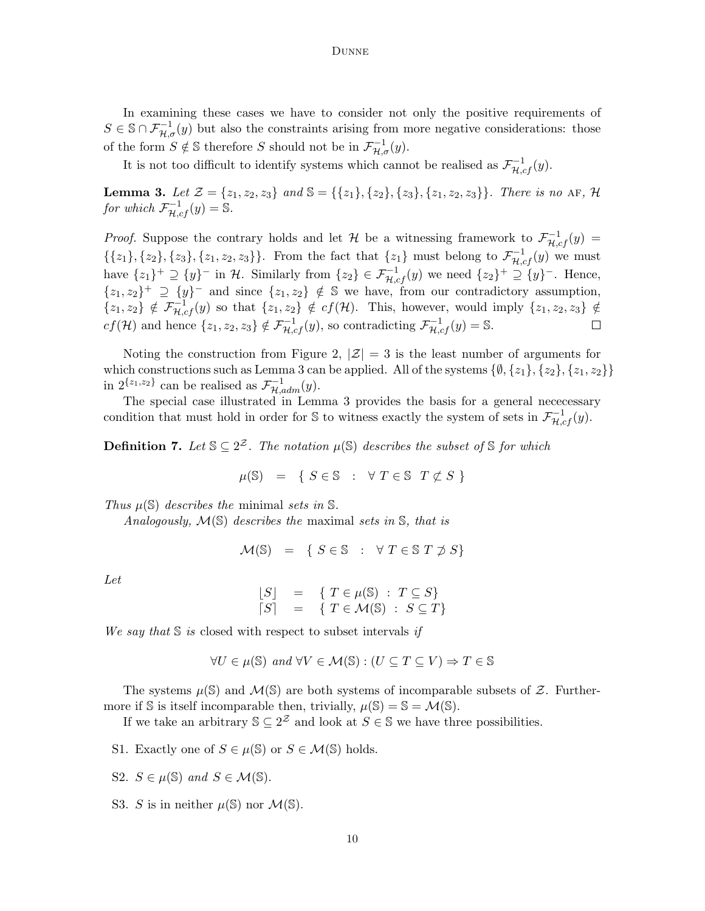In examining these cases we have to consider not only the positive requirements of  $S \in \mathbb{S} \cap \mathcal{F}_{\mathcal{H},\sigma}^{-1}(y)$  but also the constraints arising from more negative considerations: those of the form  $S \notin \mathbb{S}$  therefore S should not be in  $\mathcal{F}_{\mathcal{H},\sigma}^{-1}(y)$ .

It is not too difficult to identify systems which cannot be realised as  $\mathcal{F}^{-1}_{\mathcal{H},cf}(y)$ .

**Lemma 3.** Let  $\mathcal{Z} = \{z_1, z_2, z_3\}$  and  $\mathcal{S} = \{\{z_1\}, \{z_2\}, \{z_3\}, \{z_1, z_2, z_3\}\}\$ . There is no AF,  $\mathcal{H}$ for which  $\mathcal{F}_{\mathcal{H},cf}^{-1}(y) = \mathbb{S}.$ 

*Proof.* Suppose the contrary holds and let H be a witnessing framework to  $\mathcal{F}_{H,cf}^{-1}(y)$  $\{\{z_1\}, \{z_2\}, \{z_3\}, \{z_1, z_2, z_3\}\}\.$  From the fact that  $\{z_1\}$  must belong to  $\mathcal{F}_{\mathcal{H},cf}^{-1}(y)$  we must have  $\{z_1\}^+\supseteq \{y\}^-$  in H. Similarly from  $\{z_2\} \in \mathcal{F}_{\mathcal{H},cf}^{-1}(y)$  we need  $\{z_2\}^+\supseteq \{y\}^-$ . Hence,  $\{z_1, z_2\}^+ \supseteq \{y\}^-$  and since  $\{z_1, z_2\} \notin \mathbb{S}$  we have, from our contradictory assumption,  $\{z_1, z_2\} \notin \mathcal{F}_{\mathcal{H},cf}^{-1}(y)$  so that  $\{z_1, z_2\} \notin cf(\mathcal{H})$ . This, however, would imply  $\{z_1, z_2, z_3\} \notin$  $cf(\mathcal{H})$  and hence  $\{z_1, z_2, z_3\} \notin \mathcal{F}_{\mathcal{H},cf}^{-1}(y)$ , so contradicting  $\mathcal{F}_{\mathcal{H},cf}^{-1}(y) = \mathbb{S}.$  $\Box$ 

Noting the construction from Figure 2,  $|\mathcal{Z}| = 3$  is the least number of arguments for which constructions such as Lemma 3 can be applied. All of the systems  $\{\emptyset, \{z_1\}, \{z_2\}, \{z_1, z_2\}\}\$ in  $2^{\{z_1,z_2\}}$  can be realised as  $\mathcal{F}_{\mathcal{H},\alpha dm}^{-1}(y)$ .

The special case illustrated in Lemma 3 provides the basis for a general nececessary condition that must hold in order for S to witness exactly the system of sets in  $\mathcal{F}_{\mathcal{H},cf}^{-1}(y)$ .

**Definition 7.** Let  $\mathbb{S} \subseteq 2^{\mathcal{Z}}$ . The notation  $\mu(\mathbb{S})$  describes the subset of  $\mathbb{S}$  for which

$$
\mu(\mathbb{S}) = \{ S \in \mathbb{S} : \forall T \in \mathbb{S} \mid T \not\subset S \}
$$

Thus  $\mu(\mathbb{S})$  describes the minimal sets in  $\mathbb{S}$ .

Analogously,  $\mathcal{M}(\mathbb{S})$  describes the maximal sets in  $\mathbb{S}$ , that is

$$
\mathcal{M}(\mathbb{S}) = \{ S \in \mathbb{S} : \forall T \in \mathbb{S} \mid T \not\supset S \}
$$

Let

$$
\begin{array}{rcl}\n[S] & = & \{ T \in \mu(\mathbb{S}) \; : \; T \subseteq S \} \\
[S] & = & \{ T \in \mathcal{M}(\mathbb{S}) \; : \; S \subseteq T \}\n\end{array}
$$

We say that  $S$  is closed with respect to subset intervals if

$$
\forall U \in \mu(\mathbb{S}) \text{ and } \forall V \in \mathcal{M}(\mathbb{S}) : (U \subseteq T \subseteq V) \Rightarrow T \in \mathbb{S}
$$

The systems  $\mu(\mathbb{S})$  and  $\mathcal{M}(\mathbb{S})$  are both systems of incomparable subsets of Z. Furthermore if S is itself incomparable then, trivially,  $\mu(\mathbb{S}) = \mathbb{S} = \mathcal{M}(\mathbb{S})$ .

If we take an arbitrary  $\mathbb{S} \subseteq 2^{\mathcal{Z}}$  and look at  $S \in \mathbb{S}$  we have three possibilities.

S1. Exactly one of  $S \in \mu(\mathbb{S})$  or  $S \in \mathcal{M}(\mathbb{S})$  holds.

S2.  $S \in \mu(\mathbb{S})$  and  $S \in \mathcal{M}(\mathbb{S})$ .

S3. S is in neither  $\mu(\mathbb{S})$  nor  $\mathcal{M}(\mathbb{S})$ .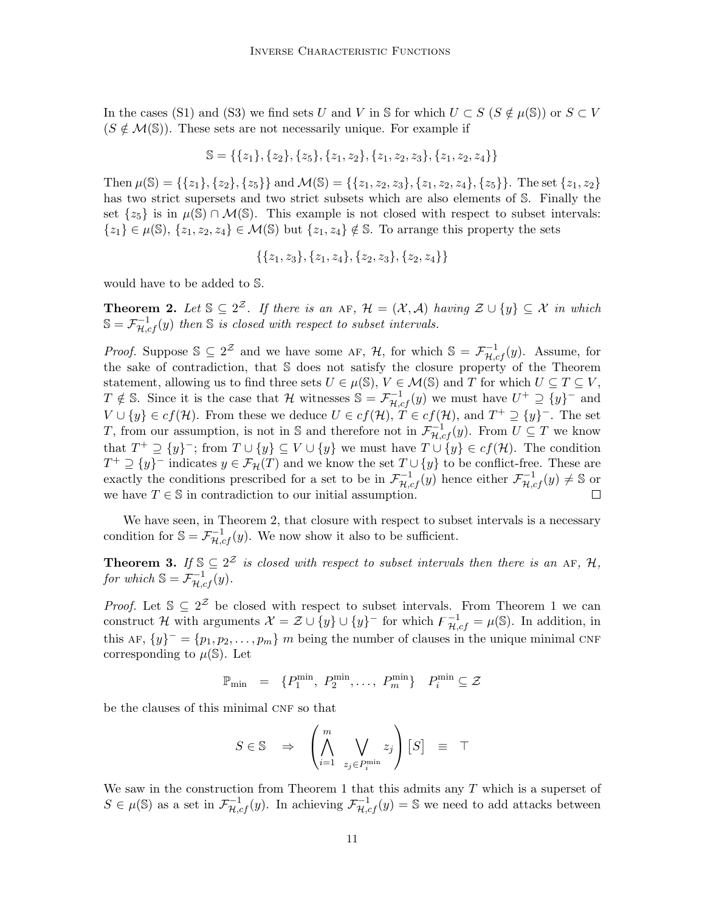In the cases (S1) and (S3) we find sets U and V in S for which  $U \subset S$  ( $S \notin \mu(\mathbb{S})$ ) or  $S \subset V$  $(S \notin \mathcal{M}(\mathbb{S}))$ . These sets are not necessarily unique. For example if

$$
\mathbb{S} = \{\{z_1\}, \{z_2\}, \{z_5\}, \{z_1, z_2\}, \{z_1, z_2, z_3\}, \{z_1, z_2, z_4\}\}
$$

Then  $\mu(\mathbb{S}) = \{\{z_1\}, \{z_2\}, \{z_5\}\}\$  and  $\mathcal{M}(\mathbb{S}) = \{\{z_1, z_2, z_3\}, \{z_1, z_2, z_4\}, \{z_5\}\}\$ . The set  $\{z_1, z_2\}$ has two strict supersets and two strict subsets which are also elements of S. Finally the set  $\{z_5\}$  is in  $\mu(\mathbb{S}) \cap \mathcal{M}(\mathbb{S})$ . This example is not closed with respect to subset intervals:  ${z_1} \in \mu(\mathbb{S}), \{z_1, z_2, z_4\} \in \mathcal{M}(\mathbb{S})$  but  $\{z_1, z_4\} \notin \mathbb{S}$ . To arrange this property the sets

$$
\{\{z_1,z_3\},\{z_1,z_4\},\{z_2,z_3\},\{z_2,z_4\}\}\
$$

would have to be added to S.

**Theorem 2.** Let  $\mathbb{S} \subseteq 2^{\mathcal{Z}}$ . If there is an AF,  $\mathcal{H} = (\mathcal{X}, \mathcal{A})$  having  $\mathcal{Z} \cup \{y\} \subseteq \mathcal{X}$  in which  $\mathbb{S} = \mathcal{F}^{-1}_{\mathcal{H},cf}(y)$  then  $\mathbb S$  is closed with respect to subset intervals.

*Proof.* Suppose  $\mathbb{S} \subseteq 2^{\mathcal{Z}}$  and we have some AF, H, for which  $\mathbb{S} = \mathcal{F}_{\mathcal{H},cf}^{-1}(y)$ . Assume, for the sake of contradiction, that S does not satisfy the closure property of the Theorem statement, allowing us to find three sets  $U \in \mu(\mathbb{S}), V \in \mathcal{M}(\mathbb{S})$  and T for which  $U \subseteq T \subseteq V$ ,  $T \notin \mathbb{S}$ . Since it is the case that H witnesses  $\mathbb{S} = \mathcal{F}_{H,cf}^{-1}(y)$  we must have  $U^+ \supseteq {y}^-$  and  $V \cup \{y\} \in cf(\mathcal{H})$ . From these we deduce  $U \in cf(\mathcal{H}), T \in cf(\mathcal{H}),$  and  $T^+ \supseteq {\{y\}}^-$ . The set T, from our assumption, is not in S and therefore not in  $\mathcal{F}^{-1}_{\mathcal{H},cf}(y)$ . From  $U \subseteq T$  we know that  $T^+ \supseteq \{y\}^-$ ; from  $T \cup \{y\} \subseteq V \cup \{y\}$  we must have  $T \cup \{y\} \in cf(\mathcal{H})$ . The condition  $T^+ \supseteq \{y\}^-$  indicates  $y \in \mathcal{F}_H(T)$  and we know the set  $T \cup \{y\}$  to be conflict-free. These are exactly the conditions prescribed for a set to be in  $\mathcal{F}_{\mathcal{H},cf}^{-1}(y)$  hence either  $\mathcal{F}_{\mathcal{H},cf}^{-1}(y) \neq \mathbb{S}$  or we have  $T \in \mathbb{S}$  in contradiction to our initial assumption.

We have seen, in Theorem 2, that closure with respect to subset intervals is a necessary condition for  $\mathbb{S} = \mathcal{F}_{\mathcal{H},cf}^{-1}(y)$ . We now show it also to be sufficient.

**Theorem 3.** If  $\mathbb{S} \subseteq 2^{\mathcal{Z}}$  is closed with respect to subset intervals then there is an AF, H, for which  $\mathbb{S} = \mathcal{F}_{\mathcal{H},cf}^{-1}(y)$ .

*Proof.* Let  $\mathcal{S} \subseteq 2^{\mathcal{Z}}$  be closed with respect to subset intervals. From Theorem 1 we can construct H with arguments  $\mathcal{X} = \mathcal{Z} \cup \{y\} \cup \{y\}^-$  for which  $\overline{\mathcal{F}_{\mathcal{H},cf}^{-1}} = \mu(\mathbb{S})$ . In addition, in this AF,  $\{y\}^- = \{p_1, p_2, \ldots, p_m\}$  m being the number of clauses in the unique minimal CNF corresponding to  $\mu(\mathbb{S})$ . Let

$$
\mathbb{P}_{\min} = \{P_1^{\min}, P_2^{\min}, \dots, P_m^{\min}\} \quad P_i^{\min} \subseteq \mathcal{Z}
$$

be the clauses of this minimal CNF so that

$$
S \in \mathbb{S} \quad \Rightarrow \quad \left(\bigwedge_{i=1}^{m} \bigvee_{z_j \in P_i^{\min}} z_j\right) [S] \equiv \top
$$

We saw in the construction from Theorem 1 that this admits any  $T$  which is a superset of  $S \in \mu(\mathbb{S})$  as a set in  $\mathcal{F}_{\mathcal{H},cf}^{-1}(y)$ . In achieving  $\mathcal{F}_{\mathcal{H},cf}^{-1}(y) = \mathbb{S}$  we need to add attacks between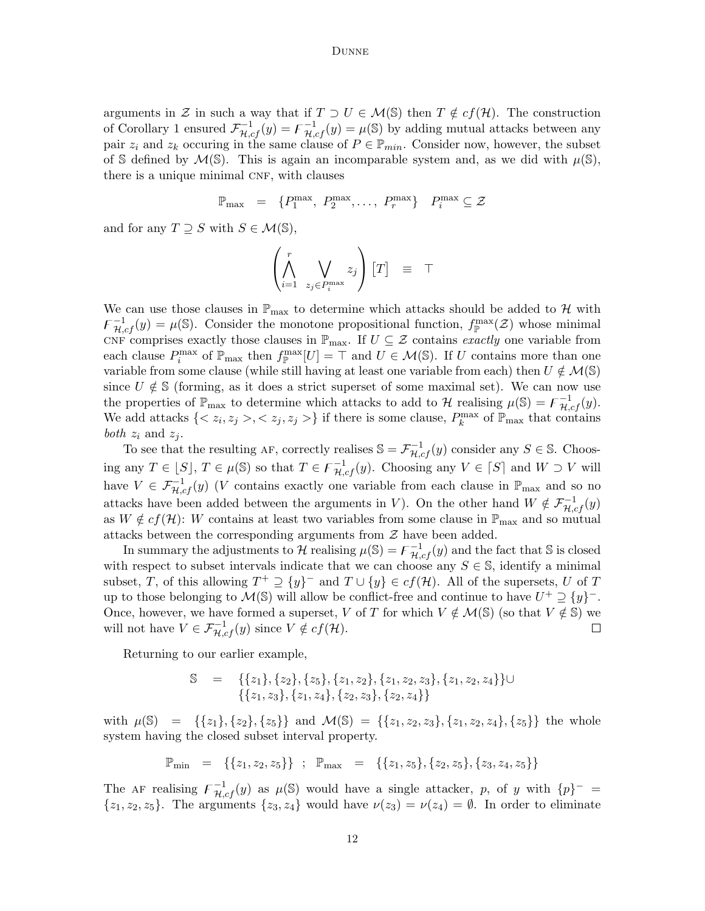arguments in Z in such a way that if  $T \supset U \in \mathcal{M}(\mathbb{S})$  then  $T \notin cf(\mathcal{H})$ . The construction of Corollary 1 ensured  $\mathcal{F}_{\mathcal{H},cf}^{-1}(y) = \mathcal{F}_{\mathcal{H},cf}^{-1}(y) = \mu(\mathbb{S})$  by adding mutual attacks between any pair  $z_i$  and  $z_k$  occuring in the same clause of  $P \in \mathbb{P}_{min}$ . Consider now, however, the subset of S defined by  $\mathcal{M}(\mathbb{S})$ . This is again an incomparable system and, as we did with  $\mu(\mathbb{S})$ , there is a unique minimal CNF, with clauses

$$
\mathbb{P}_{\max} = \{P_1^{\max}, P_2^{\max}, \dots, P_r^{\max}\} \quad P_i^{\max} \subseteq \mathcal{Z}
$$

and for any  $T \supseteq S$  with  $S \in \mathcal{M}(\mathbb{S}),$ 

$$
\left(\bigwedge_{i=1}^r \bigvee_{z_j \in P_i^{\max}} z_j\right) [T] \equiv \top
$$

We can use those clauses in  $\mathbb{P}_{\text{max}}$  to determine which attacks should be added to H with  $\mathcal{F}^{-1}_{\mathcal{H},cf}(y) = \mu(\mathbb{S})$ . Consider the monotone propositional function,  $f_{\mathbb{P}}^{\max}(\mathcal{Z})$  whose minimal CNF comprises exactly those clauses in  $\mathbb{P}_{\text{max}}$ . If  $U \subseteq \mathcal{Z}$  contains exactly one variable from each clause  $P_i^{\max}$  of  $\mathbb{P}_{\max}$  then  $f_{\mathbb{P}}^{\max}[U] = \top$  and  $U \in \mathcal{M}(\mathbb{S})$ . If U contains more than one variable from some clause (while still having at least one variable from each) then  $U \notin \mathcal{M}(\mathbb{S})$ since  $U \notin \mathcal{S}$  (forming, as it does a strict superset of some maximal set). We can now use the properties of  $\mathbb{P}_{\text{max}}$  to determine which attacks to add to H realising  $\mu(\mathbb{S}) = \mathcal{F}_{\mathcal{H},cf}^{-1}(y)$ . We add attacks  $\{, z_j> \}$  if there is some clause,  $P_k^{\max}$  of  $\mathbb{P}_{\max}$  that contains *both*  $z_i$  and  $z_j$ .

To see that the resulting AF, correctly realises  $\mathbb{S} = \mathcal{F}_{\mathcal{H},cf}^{-1}(y)$  consider any  $S \in \mathbb{S}$ . Choosing any  $T \in [S], T \in \mu(\mathbb{S})$  so that  $T \in \mathcal{F}^{-1}_{\mathcal{H},cf}(y)$ . Choosing any  $V \in [S]$  and  $W \supset V$  will have  $V \in \mathcal{F}_{\mathcal{H},cf}^{-1}(y)$  (*V* contains exactly one variable from each clause in  $\mathbb{P}_{\max}$  and so no attacks have been added between the arguments in V). On the other hand  $W \notin \mathcal{F}_{\mathcal{H},cf}^{-1}(y)$ as  $W \notin cf(\mathcal{H})$ : W contains at least two variables from some clause in  $\mathbb{P}_{\text{max}}$  and so mutual attacks between the corresponding arguments from  $\mathcal Z$  have been added.

In summary the adjustments to  $\mathcal H$  realising  $\mu(\mathbb S) = \mathcal F_{\mathcal H,cf}^{-1}(y)$  and the fact that  $\mathbb S$  is closed with respect to subset intervals indicate that we can choose any  $S \in \mathbb{S}$ , identify a minimal subset, T, of this allowing  $T^+ \supseteq {y}^-$  and  $T \cup {y} \in cf(\mathcal{H})$ . All of the supersets, U of T up to those belonging to  $\mathcal{M}(\mathbb{S})$  will allow be conflict-free and continue to have  $U^+ \supseteq {\{y\}}^-$ . Once, however, we have formed a superset, V of T for which  $V \notin \mathcal{M}(\mathbb{S})$  (so that  $V \notin \mathbb{S}$ ) we will not have  $V \in \mathcal{F}_{\mathcal{H},cf}^{-1}(y)$  since  $V \notin cf(\mathcal{H})$ .  $\Box$ 

Returning to our earlier example,

$$
\mathbb{S} = \{ \{z_1\}, \{z_2\}, \{z_5\}, \{z_1, z_2\}, \{z_1, z_2, z_3\}, \{z_1, z_2, z_4\} \} \cup \{ \{z_1, z_3\}, \{z_1, z_4\}, \{z_2, z_3\}, \{z_2, z_4\} \}
$$

with  $\mu(\mathbb{S}) = \{\{z_1\}, \{z_2\}, \{z_5\}\}\$ and  $\mathcal{M}(\mathbb{S}) = \{\{z_1, z_2, z_3\}, \{z_1, z_2, z_4\}, \{z_5\}\}\$  the whole system having the closed subset interval property.

$$
\mathbb{P}_{\min} = \left\{ \{z_1, z_2, z_5\} \right\} ; \quad \mathbb{P}_{\max} = \left\{ \{z_1, z_5\}, \{z_2, z_5\}, \{z_3, z_4, z_5\} \right\}
$$

The AF realising  $\mathcal{F}_{\mathcal{H},cf}^{-1}(y)$  as  $\mu(\mathbb{S})$  would have a single attacker, p, of y with  $\{p\}^-$  =  $\{z_1, z_2, z_5\}.$  The arguments  $\{z_3, z_4\}$  would have  $\nu(z_3) = \nu(z_4) = \emptyset$ . In order to eliminate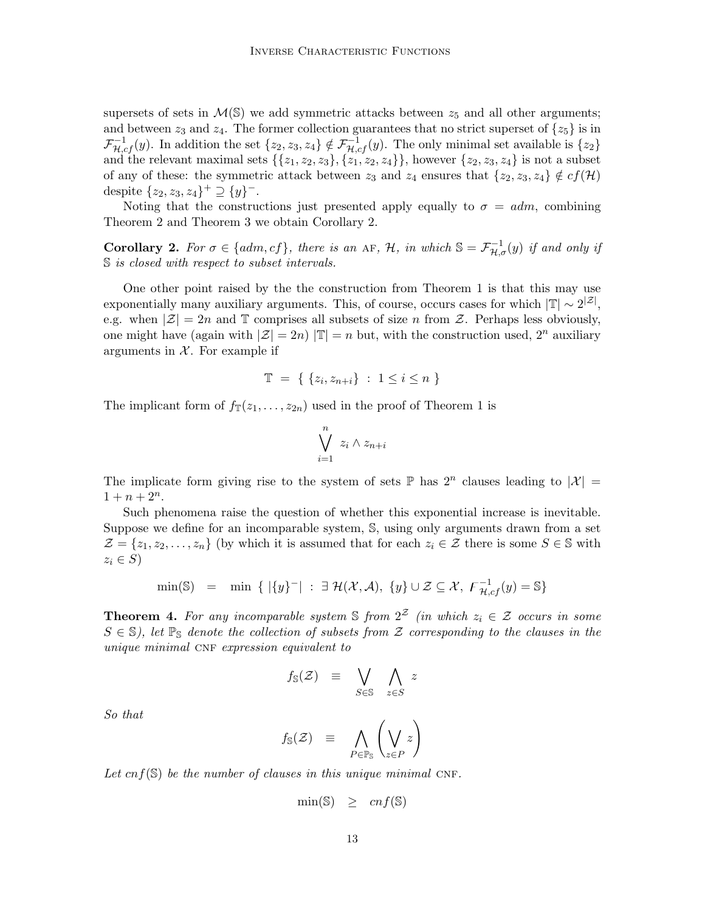supersets of sets in  $\mathcal{M}(\mathbb{S})$  we add symmetric attacks between  $z_5$  and all other arguments; and between  $z_3$  and  $z_4$ . The former collection guarantees that no strict superset of  $\{z_5\}$  is in  $\mathcal{F}_{\mathcal{H},cf}^{-1}(y)$ . In addition the set  $\{z_2, z_3, z_4\} \notin \mathcal{F}_{\mathcal{H},cf}^{-1}(y)$ . The only minimal set available is  $\{z_2\}$ and the relevant maximal sets  $\{\{z_1, z_2, z_3\}, \{z_1, z_2, z_4\}\}\,$ , however  $\{z_2, z_3, z_4\}$  is not a subset of any of these: the symmetric attack between  $z_3$  and  $z_4$  ensures that  $\{z_2, z_3, z_4\} \notin cf(\mathcal{H})$ despite  $\{z_2, z_3, z_4\}^+ \supseteq \{y\}^-$ .

Noting that the constructions just presented apply equally to  $\sigma = adm$ , combining Theorem 2 and Theorem 3 we obtain Corollary 2.

**Corollary 2.** For  $\sigma \in \{adm, cf\}$ , there is an AF, H, in which  $\mathbb{S} = \mathcal{F}_{\mathcal{H}, \sigma}^{-1}(y)$  if and only if S is closed with respect to subset intervals.

One other point raised by the the construction from Theorem 1 is that this may use exponentially many auxiliary arguments. This, of course, occurs cases for which  $|\mathbb{T}| \sim 2^{|\mathcal{Z}|}$ , e.g. when  $|\mathcal{Z}| = 2n$  and T comprises all subsets of size n from Z. Perhaps less obviously, one might have (again with  $|\mathcal{Z}| = 2n$ )  $|\mathbb{T}| = n$  but, with the construction used,  $2^n$  auxiliary arguments in  $X$ . For example if

$$
\mathbb{T} = \{ \{ z_i, z_{n+i} \} : 1 \le i \le n \}
$$

The implicant form of  $f_{\mathbb{T}}(z_1,\ldots,z_{2n})$  used in the proof of Theorem 1 is

$$
\bigvee_{i=1}^{n} z_i \wedge z_{n+i}
$$

The implicate form giving rise to the system of sets  $\mathbb{P}$  has  $2^n$  clauses leading to  $|\mathcal{X}| =$  $1 + n + 2^n$ .

Such phenomena raise the question of whether this exponential increase is inevitable. Suppose we define for an incomparable system, S, using only arguments drawn from a set  $\mathcal{Z} = \{z_1, z_2, \ldots, z_n\}$  (by which it is assumed that for each  $z_i \in \mathcal{Z}$  there is some  $S \in \mathbb{S}$  with  $z_i \in S$ 

$$
\min(\mathbb{S}) = \min \{ | \{y\}^-| : \exists \mathcal{H}(\mathcal{X}, \mathcal{A}), \{y\} \cup \mathcal{Z} \subseteq \mathcal{X}, \ \mathcal{F}_{\mathcal{H},cf}^{-1}(y) = \mathbb{S} \}
$$

**Theorem 4.** For any incomparable system S from  $2^{\mathcal{Z}}$  (in which  $z_i \in \mathcal{Z}$  occurs in some  $S \in \mathbb{S}$ ), let  $\mathbb{P}_{\mathbb{S}}$  denote the collection of subsets from  $\mathcal{Z}$  corresponding to the clauses in the unique minimal CNF expression equivalent to

$$
f_{\mathbb{S}}(\mathcal{Z}) = \bigvee_{S \in \mathbb{S}} \bigwedge_{z \in S} z
$$

So that

$$
f_{\mathbb{S}}(\mathcal{Z}) \equiv \bigwedge_{P \in \mathbb{P}_{\mathbb{S}}} \left( \bigvee_{z \in P} z \right)
$$

Let cnf( $\mathcal{S}$ ) be the number of clauses in this unique minimal CNF.

$$
\min(\mathbb{S}) \quad \geq \quad cnf(\mathbb{S})
$$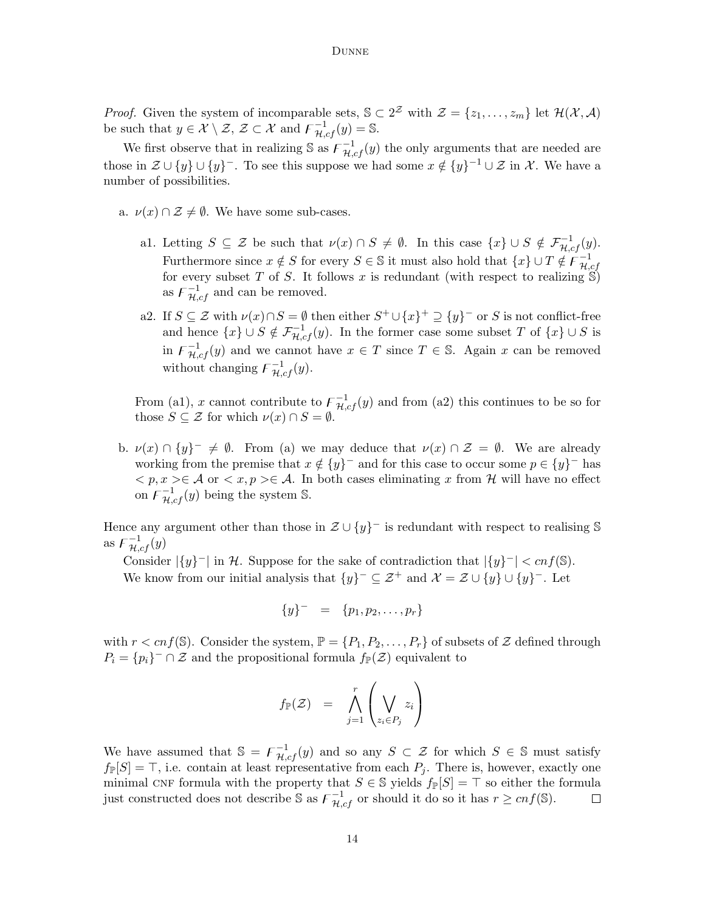*Proof.* Given the system of incomparable sets,  $\mathcal{S} \subset 2^{\mathcal{Z}}$  with  $\mathcal{Z} = \{z_1, \ldots, z_m\}$  let  $\mathcal{H}(\mathcal{X}, \mathcal{A})$ be such that  $y \in \mathcal{X} \setminus \mathcal{Z}, \mathcal{Z} \subset \mathcal{X}$  and  $\overline{\mathcal{F}}_{\mathcal{H},cf}^{-1}(y) = \mathbb{S}.$ 

We first observe that in realizing S as  $\overline{F}_{\mathcal{H},cf}^{-1}(y)$  the only arguments that are needed are those in  $\mathcal{Z} \cup \{y\} \cup \{y\}^-$ . To see this suppose we had some  $x \notin \{y\}^{-1} \cup \mathcal{Z}$  in X. We have a number of possibilities.

- a.  $\nu(x) \cap \mathcal{Z} \neq \emptyset$ . We have some sub-cases.
	- a1. Letting  $S \subseteq \mathcal{Z}$  be such that  $\nu(x) \cap S \neq \emptyset$ . In this case  $\{x\} \cup S \notin \mathcal{F}_{\mathcal{H},cf}^{-1}(y)$ . Furthermore since  $x \notin S$  for every  $S \in \mathbb{S}$  it must also hold that  $\{x\} \cup T \notin \overline{\mathcal{F}_{H}^{-1}}$  $_{\mathcal{H},cf}$ for every subset  $T$  of  $S$ . It follows  $x$  is redundant (with respect to realizing  $\mathcal{S}$ ) as  $\mathcal{F}_{\mathcal{H},cf}^{-1}$  and can be removed.
	- a2. If  $S \subseteq \mathcal{Z}$  with  $\nu(x) \cap S = \emptyset$  then either  $S^+ \cup \{x\}^+ \supseteq \{y\}^-$  or S is not conflict-free and hence  $\{x\} \cup S \notin \mathcal{F}_{\mathcal{H},cf}^{-1}(y)$ . In the former case some subset T of  $\{x\} \cup S$  is in  $\mathcal{F}_{\mathcal{H},cf}^{-1}(y)$  and we cannot have  $x \in T$  since  $T \in \mathbb{S}$ . Again x can be removed without changing  $\mathcal{F}_{\mathcal{H},cf}^{-1}(y)$ .

From (a1), x cannot contribute to  $\bar{F}_{H,cf}^{-1}(y)$  and from (a2) this continues to be so for those  $S \subseteq \mathcal{Z}$  for which  $\nu(x) \cap S = \emptyset$ .

b.  $\nu(x) \cap \{y\}^- \neq \emptyset$ . From (a) we may deduce that  $\nu(x) \cap \mathcal{Z} = \emptyset$ . We are already working from the premise that  $x \notin \{y\}^-$  and for this case to occur some  $p \in \{y\}^-$  has  $\langle p, x \rangle \in \mathcal{A}$  or  $\langle x, p \rangle \in \mathcal{A}$ . In both cases eliminating x from H will have no effect on  $\overline{F}_{\mathcal{H},cf}^{-1}(y)$  being the system S.

Hence any argument other than those in  $\mathcal{Z} \cup \{y\}^-$  is redundant with respect to realising S as  $\overline{\mathcal{F}}^{-1}_{\mathcal{H},cf}(y)$ 

Consider  $|\{y\}^-|$  in H. Suppose for the sake of contradiction that  $|\{y\}^-| < cnf(\mathbb{S})$ . We know from our initial analysis that  $\{y\}^-\subseteq \mathcal{Z}^+$  and  $\mathcal{X}=\mathcal{Z}\cup \{y\}\cup \{y\}^-$ . Let

$$
\{y\}^- = \{p_1, p_2, \ldots, p_r\}
$$

with  $r < cnf(\mathbb{S})$ . Consider the system,  $\mathbb{P} = \{P_1, P_2, \ldots, P_r\}$  of subsets of  $\mathcal{Z}$  defined through  $P_i = \{p_i\}^- \cap \mathcal{Z}$  and the propositional formula  $f_{\mathbb{P}}(\mathcal{Z})$  equivalent to

$$
f_{\mathbb{P}}(\mathcal{Z}) = \bigwedge_{j=1}^r \left(\bigvee_{z_i \in P_j} z_i\right)
$$

We have assumed that  $\mathbb{S} = \overline{F}_{\mathcal{H},cf}^{-1}(y)$  and so any  $S \subset \mathcal{Z}$  for which  $S \in \mathbb{S}$  must satisfy  $f_{\mathbb{P}}[S] = \top$ , i.e. contain at least representative from each  $P_i$ . There is, however, exactly one minimal CNF formula with the property that  $S \in \mathbb{S}$  yields  $f_{\mathbb{P}}[S] = \top$  so either the formula just constructed does not describe S as  $\mathcal{F}_{\mathcal{H},cf}^{-1}$  or should it do so it has  $r \geq cnf(\mathbb{S})$ .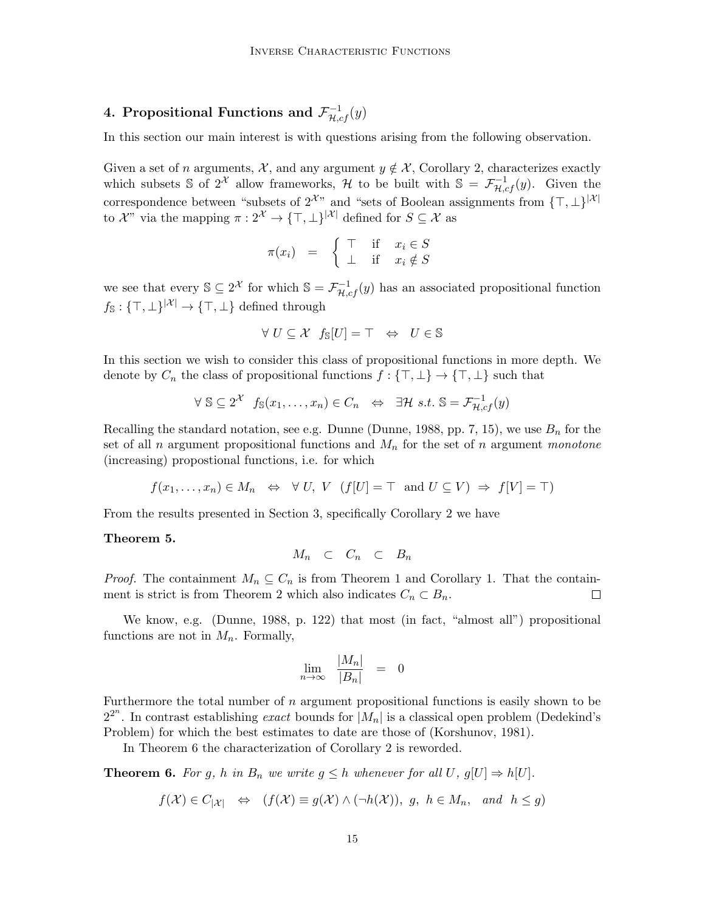# 4. Propositional Functions and  $\mathcal{F}^{-1}_{\mathcal{H},cf}(y)$

In this section our main interest is with questions arising from the following observation.

Given a set of n arguments,  $\mathcal{X}$ , and any argument  $y \notin \mathcal{X}$ , Corollary 2, characterizes exactly which subsets S of  $2^{\mathcal{X}}$  allow frameworks, H to be built with  $\mathbb{S} = \mathcal{F}_{\mathcal{H},cf}^{-1}(y)$ . Given the correspondence between "subsets of  $2^{\mathcal{X}}$ " and "sets of Boolean assignments from  $\{\top, \bot\}^{|\mathcal{X}|}$ to  $\mathcal{X}^n$  via the mapping  $\pi: 2^{\mathcal{X}} \to {\{\top, \bot\}}^{|\mathcal{X}|}$  defined for  $S \subseteq \mathcal{X}$  as

$$
\pi(x_i) = \begin{cases} \top & \text{if } x_i \in S \\ \bot & \text{if } x_i \notin S \end{cases}
$$

we see that every  $\mathbb{S} \subseteq 2^{\mathcal{X}}$  for which  $\mathbb{S} = \mathcal{F}_{\mathcal{H},cf}^{-1}(y)$  has an associated propositional function  $f_s: \{\top, \bot\}^{|\mathcal{X}|} \to \{\top, \bot\}$  defined through

$$
\forall U \subseteq \mathcal{X} \ f_{\mathbb{S}}[U] = \top \Leftrightarrow U \in \mathbb{S}
$$

In this section we wish to consider this class of propositional functions in more depth. We denote by  $C_n$  the class of propositional functions  $f: \{\top, \bot\} \to \{\top, \bot\}$  such that

$$
\forall \ \mathbb{S} \subseteq 2^{\mathcal{X}} \ f_{\mathbb{S}}(x_1, \dots, x_n) \in C_n \ \Leftrightarrow \ \exists \mathcal{H} \ s.t. \ \mathbb{S} = \mathcal{F}_{\mathcal{H},cf}^{-1}(y)
$$

Recalling the standard notation, see e.g. Dunne (Dunne, 1988, pp. 7, 15), we use  $B_n$  for the set of all n argument propositional functions and  $M_n$  for the set of n argument monotone (increasing) propostional functions, i.e. for which

$$
f(x_1,...,x_n) \in M_n \Leftrightarrow \forall U, V \ (f[U] = \top \text{ and } U \subseteq V) \Rightarrow f[V] = \top
$$

From the results presented in Section 3, specifically Corollary 2 we have

### Theorem 5.

$$
M_n \quad \subset \quad C_n \quad \subset \quad B_n
$$

*Proof.* The containment  $M_n \subseteq C_n$  is from Theorem 1 and Corollary 1. That the containment is strict is from Theorem 2 which also indicates  $C_n \subset B_n$ .  $\Box$ 

We know, e.g. (Dunne, 1988, p. 122) that most (in fact, "almost all") propositional functions are not in  $M_n$ . Formally,

$$
\lim_{n \to \infty} \frac{|M_n|}{|B_n|} = 0
$$

Furthermore the total number of  $n$  argument propositional functions is easily shown to be  $2^{2^n}$ . In contrast establishing exact bounds for  $|M_n|$  is a classical open problem (Dedekind's Problem) for which the best estimates to date are those of (Korshunov, 1981).

In Theorem 6 the characterization of Corollary 2 is reworded.

**Theorem 6.** For g, h in  $B_n$  we write  $g \leq h$  whenever for all U,  $g[U] \Rightarrow h[U]$ .

$$
f(\mathcal{X}) \in C_{|\mathcal{X}|} \iff (f(\mathcal{X}) \equiv g(\mathcal{X}) \land (\neg h(\mathcal{X})), g, h \in M_n, \text{ and } h \leq g)
$$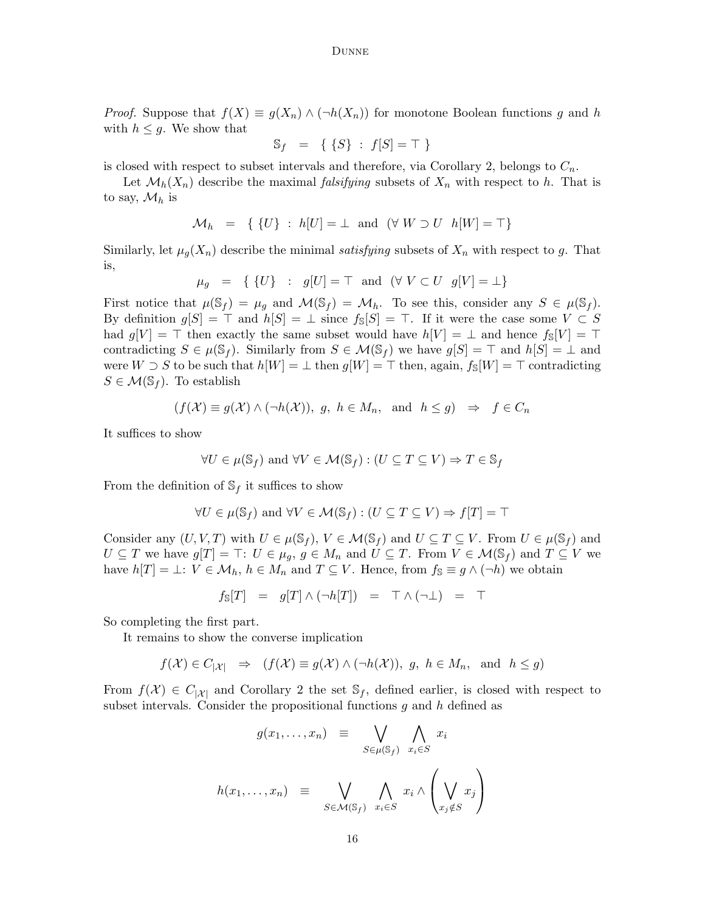*Proof.* Suppose that  $f(X) \equiv g(X_n) \wedge (\neg h(X_n))$  for monotone Boolean functions g and h with  $h \leq g$ . We show that

$$
\mathbb{S}_f = \{ \{S\} : f[S] = \top \}
$$

is closed with respect to subset intervals and therefore, via Corollary 2, belongs to  $C_n$ .

Let  $\mathcal{M}_h(X_n)$  describe the maximal *falsifying* subsets of  $X_n$  with respect to h. That is to say,  $\mathcal{M}_h$  is

$$
\mathcal{M}_h = \{ \{U\} : h[U] = \perp \text{ and } (\forall W \supset U \ h[W] = \top \}
$$

Similarly, let  $\mu_g(X_n)$  describe the minimal satisfying subsets of  $X_n$  with respect to g. That is,

$$
\mu_g = \{ \{U\} : g[U] = \top \text{ and } (\forall V \subset U \text{ } g[V] = \bot \}
$$

First notice that  $\mu(\mathbb{S}_f) = \mu_g$  and  $\mathcal{M}(\mathbb{S}_f) = \mathcal{M}_h$ . To see this, consider any  $S \in \mu(\mathbb{S}_f)$ . By definition  $g[S] = \top$  and  $h[S] = \bot$  since  $f_{\mathbb{S}}[S] = \top$ . If it were the case some  $V \subset S$ had  $g[V] = \top$  then exactly the same subset would have  $h[V] = \bot$  and hence  $f_{\mathcal{S}}[V] = \top$ contradicting  $S \in \mu(\mathbb{S}_f)$ . Similarly from  $S \in \mathcal{M}(\mathbb{S}_f)$  we have  $g[S] = \top$  and  $h[S] = \bot$  and were W  $\supset S$  to be such that  $h[W] = \perp$  then  $g[W] = \top$  then, again,  $f_{\mathbb{S}}[W] = \top$  contradicting  $S \in \mathcal{M}(\mathbb{S}_f)$ . To establish

$$
(f(\mathcal{X}) \equiv g(\mathcal{X}) \land (\neg h(\mathcal{X})), g, h \in M_n, \text{ and } h \leq g) \Rightarrow f \in C_n
$$

It suffices to show

$$
\forall U \in \mu(\mathbb{S}_f) \text{ and } \forall V \in \mathcal{M}(\mathbb{S}_f) : (U \subseteq T \subseteq V) \Rightarrow T \in \mathbb{S}_f
$$

From the definition of  $\mathbb{S}_f$  it suffices to show

$$
\forall U \in \mu(\mathbb{S}_f) \text{ and } \forall V \in \mathcal{M}(\mathbb{S}_f) : (U \subseteq T \subseteq V) \Rightarrow f[T] = \top
$$

Consider any  $(U, V, T)$  with  $U \in \mu(\mathbb{S}_f)$ ,  $V \in \mathcal{M}(\mathbb{S}_f)$  and  $U \subseteq T \subseteq V$ . From  $U \in \mu(\mathbb{S}_f)$  and  $U \subseteq T$  we have  $g[T] = \top: U \in \mu_g, g \in M_n$  and  $U \subseteq T$ . From  $V \in \mathcal{M}(\mathbb{S}_f)$  and  $T \subseteq V$  we have  $h[T] = \perp: V \in \mathcal{M}_h, h \in M_n$  and  $T \subseteq V$ . Hence, from  $f_s \equiv g \wedge (\neg h)$  we obtain

$$
f_{\mathbb{S}}[T] = g[T] \wedge (\neg h[T]) = \top \wedge (\neg \bot) = \top
$$

So completing the first part.

It remains to show the converse implication

$$
f(\mathcal{X}) \in C_{|\mathcal{X}|} \Rightarrow (f(\mathcal{X}) \equiv g(\mathcal{X}) \land (\neg h(\mathcal{X})), g, h \in M_n, \text{ and } h \leq g)
$$

From  $f(\mathcal{X}) \in C_{|\mathcal{X}|}$  and Corollary 2 the set  $\mathbb{S}_f$ , defined earlier, is closed with respect to subset intervals. Consider the propositional functions  $g$  and  $h$  defined as

 $\ddot{\phantom{1}}$ 

$$
g(x_1, \ldots, x_n) \equiv \bigvee_{S \in \mu(\mathbb{S}_f)} \bigwedge_{x_i \in S} x_i
$$

$$
h(x_1, \ldots, x_n) \equiv \bigvee_{S \in \mathcal{M}(\mathbb{S}_f)} \bigwedge_{x_i \in S} x_i \wedge \left(\bigvee_{x_j \notin S} x_j\right)
$$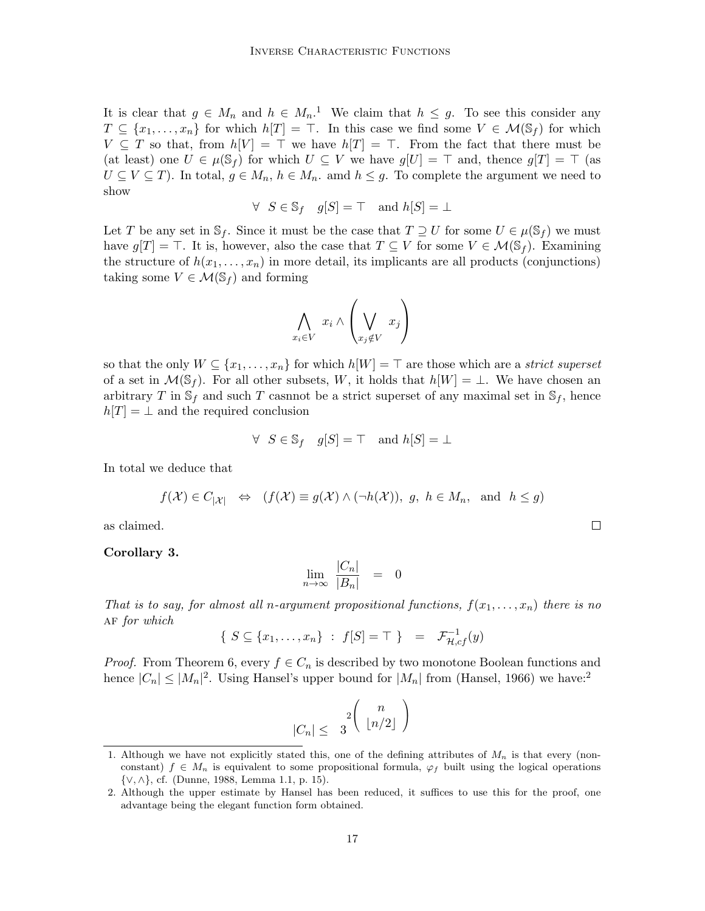It is clear that  $g \in M_n$  and  $h \in M_n$ .<sup>1</sup> We claim that  $h \leq g$ . To see this consider any  $T \subseteq \{x_1, \ldots, x_n\}$  for which  $h[T] = \top$ . In this case we find some  $V \in \mathcal{M}(\mathbb{S}_f)$  for which  $V \subseteq T$  so that, from  $h[V] = \top$  we have  $h[T] = \top$ . From the fact that there must be (at least) one  $U \in \mu(\mathbb{S}_f)$  for which  $U \subseteq V$  we have  $g[U] = \top$  and, thence  $g[T] = \top$  (as  $U \subseteq V \subseteq T$ ). In total,  $g \in M_n$ ,  $h \in M_n$ . amd  $h \leq g$ . To complete the argument we need to show

$$
\forall S \in \mathbb{S}_f \quad g[S] = \top \quad \text{and } h[S] = \bot
$$

Let T be any set in  $\mathbb{S}_f$ . Since it must be the case that  $T \supseteq U$  for some  $U \in \mu(\mathbb{S}_f)$  we must have  $g[T] = \top$ . It is, however, also the case that  $T \subseteq V$  for some  $V \in \mathcal{M}(\mathbb{S}_f)$ . Examining the structure of  $h(x_1, \ldots, x_n)$  in more detail, its implicants are all products (conjunctions) taking some  $V \in \mathcal{M}(\mathbb{S}_f)$  and forming

$$
\bigwedge_{x_i \in V} x_i \wedge \left(\bigvee_{x_j \notin V} x_j\right)
$$

so that the only  $W \subseteq \{x_1, \ldots, x_n\}$  for which  $h[W] = \top$  are those which are a strict superset of a set in  $\mathcal{M}(\mathbb{S}_f)$ . For all other subsets, W, it holds that  $h[W] = \bot$ . We have chosen an arbitrary T in  $\mathcal{S}_f$  and such T casnnot be a strict superset of any maximal set in  $\mathcal{S}_f$ , hence  $h[T] = \perp$  and the required conclusion

$$
\forall S \in \mathbb{S}_f \quad g[S] = \top \quad \text{and } h[S] = \bot
$$

In total we deduce that

$$
f(\mathcal{X}) \in C_{|\mathcal{X}|} \iff (f(\mathcal{X}) \equiv g(\mathcal{X}) \land (\neg h(\mathcal{X})), g, h \in M_n, \text{ and } h \leq g)
$$

as claimed.

### Corollary 3.

$$
\lim_{n \to \infty} \frac{|C_n|}{|B_n|} = 0
$$

That is to say, for almost all n-argument propositional functions,  $f(x_1, \ldots, x_n)$  there is no AF for which

$$
\{ S \subseteq \{x_1, \dots, x_n\} : f[S] = \top \} = \mathcal{F}_{\mathcal{H},cf}^{-1}(y)
$$

*Proof.* From Theorem 6, every  $f \in C_n$  is described by two monotone Boolean functions and hence  $|C_n| \leq |M_n|^2$ . Using Hansel's upper bound for  $|M_n|$  from (Hansel, 1966) we have:<sup>2</sup>

$$
|C_n| \leq 3 \left( \begin{array}{c} n \\ \lfloor n/2 \rfloor \end{array} \right)
$$

 $\Box$ 

<sup>1.</sup> Although we have not explicitly stated this, one of the defining attributes of  $M_n$  is that every (nonconstant)  $f \in M_n$  is equivalent to some propositional formula,  $\varphi_f$  built using the logical operations {∨, ∧}, cf. (Dunne, 1988, Lemma 1.1, p. 15).

<sup>2.</sup> Although the upper estimate by Hansel has been reduced, it suffices to use this for the proof, one advantage being the elegant function form obtained.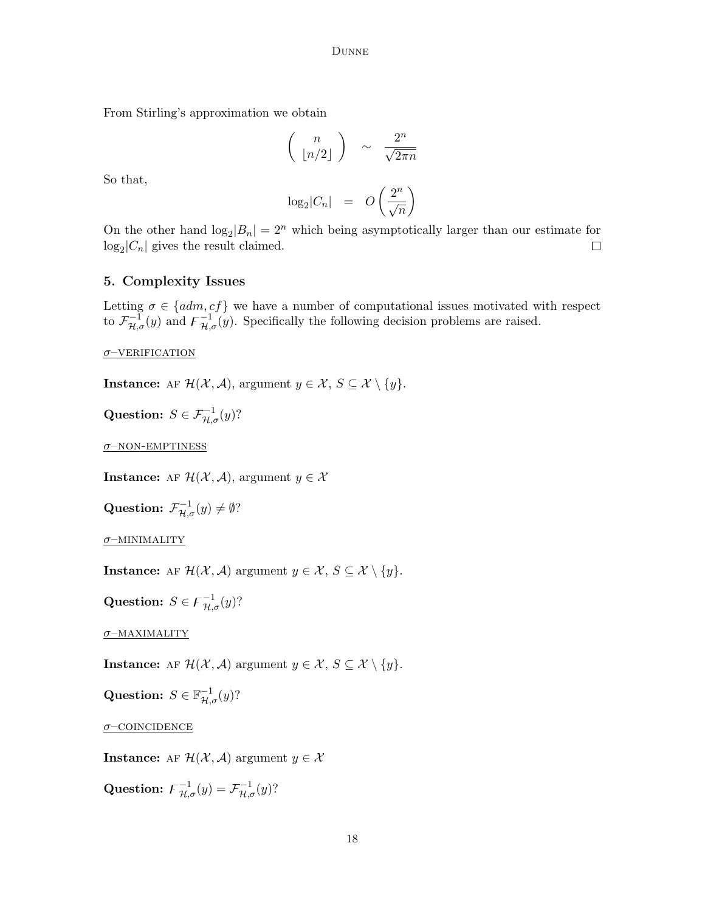From Stirling's approximation we obtain

$$
\left(\begin{array}{c}n\\ \lfloor n/2 \rfloor\end{array}\right) \sim \frac{2^n}{\sqrt{2\pi n}}
$$

So that,

$$
\log_2|C_n| = O\left(\frac{2^n}{\sqrt{n}}\right)
$$

On the other hand  $\log_2|B_n| = 2^n$  which being asymptotically larger than our estimate for  $log_2|C_n|$  gives the result claimed.  $\Box$ 

## 5. Complexity Issues

Letting  $\sigma \in \{adm, cf\}$  we have a number of computational issues motivated with respect to  $\mathcal{F}_{\mathcal{H},\sigma}^{-1}(y)$  and  $\mathcal{F}_{\mathcal{H},\sigma}^{-1}(y)$ . Specifically the following decision problems are raised.

 $\sigma$ –VERIFICATION

**Instance:** AF  $\mathcal{H}(\mathcal{X}, \mathcal{A})$ , argument  $y \in \mathcal{X}, S \subseteq \mathcal{X} \setminus \{y\}.$ 

Question:  $S \in \mathcal{F}_{\mathcal{H},\sigma}^{-1}(y)$ ?

 $\sigma$ –NON-EMPTINESS

**Instance:** AF  $\mathcal{H}(\mathcal{X}, \mathcal{A})$ , argument  $y \in \mathcal{X}$ 

Question:  $\mathcal{F}_{\mathcal{H}, \sigma}^{-1}(y) \neq \emptyset$ ?

 $\sigma$ –MINIMALITY

**Instance:** AF  $\mathcal{H}(\mathcal{X}, \mathcal{A})$  argument  $y \in \mathcal{X}, S \subseteq \mathcal{X} \setminus \{y\}.$ 

Question:  $S \in \mathcal{F}_{\mathcal{H},\sigma}^{-1}(y)$ ?

σ–maximality

**Instance:** AF  $\mathcal{H}(\mathcal{X}, \mathcal{A})$  argument  $y \in \mathcal{X}, S \subseteq \mathcal{X} \setminus \{y\}.$ 

Question:  $S \in \mathbb{F}_{\mathcal{H},\sigma}^{-1}(y)$ ?

 $\sigma$ –COINCIDENCE

**Instance:** AF  $\mathcal{H}(\mathcal{X}, \mathcal{A})$  argument  $y \in \mathcal{X}$ 

Question:  $\mathcal{F}_{\mathcal{H},\sigma}^{-1}(y) = \mathcal{F}_{\mathcal{H},\sigma}^{-1}(y)$ ?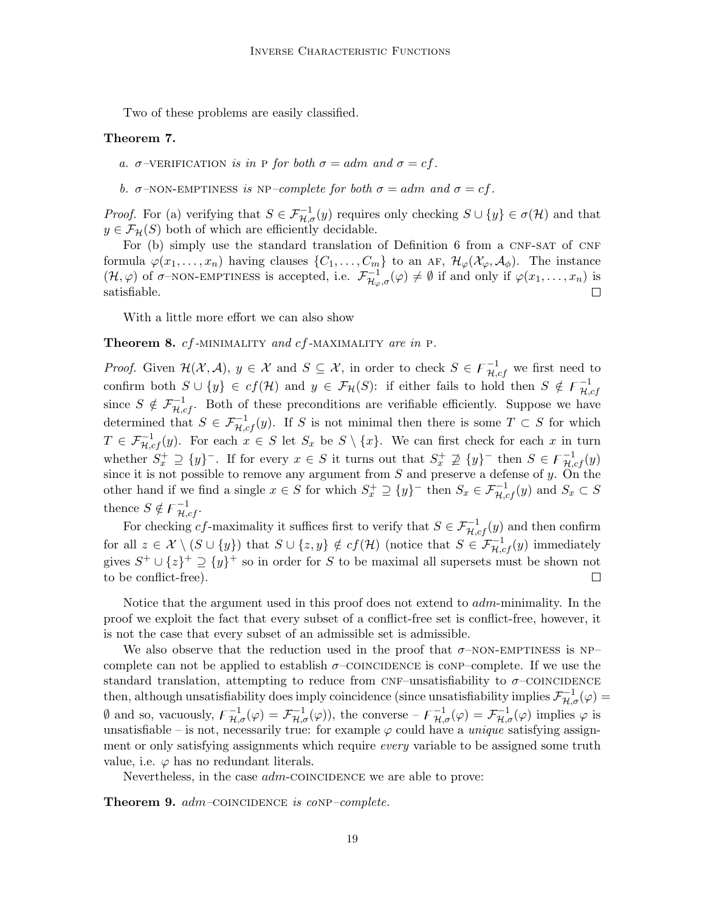Two of these problems are easily classified.

### Theorem 7.

a.  $\sigma$ -VERIFICATION is in P for both  $\sigma = adm$  and  $\sigma = cf$ .

b.  $\sigma$ -NON-EMPTINESS is NP-complete for both  $\sigma = adm$  and  $\sigma = cf$ .

*Proof.* For (a) verifying that  $S \in \mathcal{F}_{\mathcal{H},\sigma}^{-1}(y)$  requires only checking  $S \cup \{y\} \in \sigma(\mathcal{H})$  and that  $y \in \mathcal{F}_{\mathcal{H}}(S)$  both of which are efficiently decidable.

For  $(b)$  simply use the standard translation of Definition 6 from a CNF-SAT of CNF formula  $\varphi(x_1,\ldots,x_n)$  having clauses  $\{C_1,\ldots,C_m\}$  to an AF,  $\mathcal{H}_{\varphi}(\mathcal{X}_{\varphi},\mathcal{A}_{\phi})$ . The instance  $(\mathcal{H}, \varphi)$  of  $\sigma$ -NON-EMPTINESS is accepted, i.e.  $\mathcal{F}_{\mathcal{H}_{\varphi}, \sigma}^{-1}(\varphi) \neq \emptyset$  if and only if  $\varphi(x_1, \ldots, x_n)$  is satisfiable.

With a little more effort we can also show

**Theorem 8.** cf-MINIMALITY and cf-MAXIMALITY are in P.

*Proof.* Given  $\mathcal{H}(\mathcal{X}, \mathcal{A}), y \in \mathcal{X}$  and  $S \subseteq \mathcal{X}$ , in order to check  $S \in \mathcal{F}_{\mathcal{H},cf}^{-1}$  we first need to confirm both  $S \cup \{y\} \in cf(\mathcal{H})$  and  $y \in \mathcal{F}_{\mathcal{H}}(S)$ : if either fails to hold then  $S \notin \mathcal{F}_{\mathcal{H}_{\mathcal{H}}}^{-1}$  $_{\mathcal{H},cf}$ since  $S \notin \mathcal{F}_{\mathcal{H},cf}^{-1}$ . Both of these preconditions are verifiable efficiently. Suppose we have determined that  $S \in \mathcal{F}_{\mathcal{H},cf}^{-1}(y)$ . If S is not minimal then there is some  $T \subset S$  for which  $T \in \mathcal{F}_{\mathcal{H},cf}^{-1}(y)$ . For each  $x \in S$  let  $S_x$  be  $S \setminus \{x\}$ . We can first check for each x in turn whether  $S_x^+ \supseteq {y}^-$ . If for every  $x \in S$  it turns out that  $S_x^+ \supseteq {y}^-$  then  $S \in \mathfrak{F}_{\mathcal{H},cf}^{-1}(y)$ since it is not possible to remove any argument from  $S$  and preserve a defense of  $y$ . On the other hand if we find a single  $x \in S$  for which  $S_x^+ \supseteq \{y\}^-$  then  $S_x \in \mathcal{F}_{\mathcal{H},cf}^{-1}(y)$  and  $S_x \subset S$ thence  $S \notin \mathcal{F}_{\mathcal{H},cf}^{-1}$ .

For checking cf-maximality it suffices first to verify that  $S \in \mathcal{F}_{\mathcal{H},cf}^{-1}(y)$  and then confirm for all  $z \in \mathcal{X} \setminus (S \cup \{y\})$  that  $S \cup \{z, y\} \notin cf(\mathcal{H})$  (notice that  $S \in \mathcal{F}_{\mathcal{H},cf}^{-1}(y)$  immediately gives  $S^+ \cup \{z\}^+ \supseteq {\{y\}}^+$  so in order for S to be maximal all supersets must be shown not to be conflict-free).  $\Box$ 

Notice that the argument used in this proof does not extend to adm-minimality. In the proof we exploit the fact that every subset of a conflict-free set is conflict-free, however, it is not the case that every subset of an admissible set is admissible.

We also observe that the reduction used in the proof that  $\sigma$ –NON-EMPTINESS is NP– complete can not be applied to establish  $\sigma$ –COINCIDENCE is conp–complete. If we use the standard translation, attempting to reduce from CNF–unsatisfiability to  $\sigma$ –COINCIDENCE then, although unsatisfiability does imply coincidence (since unsatisfiability implies  $\mathcal{F}_{\mathcal{H},\sigma}^{-1}(\varphi)$  =  $\emptyset$  and so, vacuously,  $\mathcal{F}_{\mathcal{H},\sigma}^{-1}(\varphi) = \mathcal{F}_{\mathcal{H},\sigma}^{-1}(\varphi)$ , the converse  $-\mathcal{F}_{\mathcal{H},\sigma}^{-1}(\varphi) = \mathcal{F}_{\mathcal{H},\sigma}^{-1}(\varphi)$  implies  $\varphi$  is unsatisfiable – is not, necessarily true: for example  $\varphi$  could have a *unique* satisfying assignment or only satisfying assignments which require *every* variable to be assigned some truth value, i.e.  $\varphi$  has no redundant literals.

Nevertheless, in the case *adm*-COINCIDENCE we are able to prove:

**Theorem 9.**  $adm$ –COINCIDENCE is coNP–complete.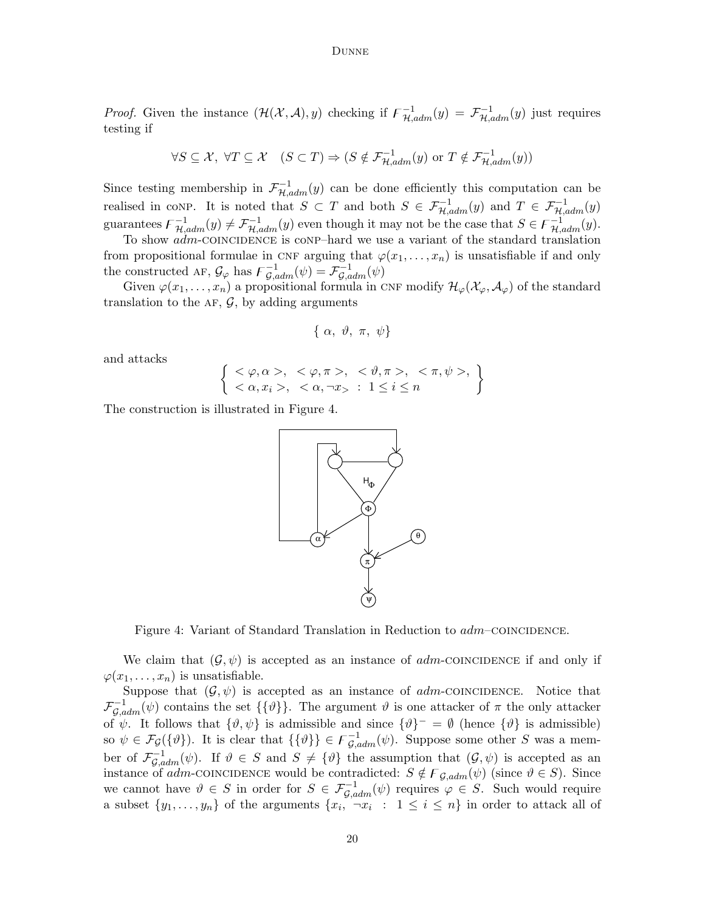*Proof.* Given the instance  $(\mathcal{H}(\mathcal{X}, \mathcal{A}), y)$  checking if  $\mathcal{F}_{\mathcal{H}, adm}^{-1}(y) = \mathcal{F}_{\mathcal{H}, adm}^{-1}(y)$  just requires testing if

$$
\forall S \subseteq \mathcal{X}, \ \forall T \subseteq \mathcal{X} \quad (S \subset T) \Rightarrow (S \notin \mathcal{F}_{\mathcal{H},adm}^{-1}(y) \text{ or } T \notin \mathcal{F}_{\mathcal{H},adm}^{-1}(y))
$$

Since testing membership in  $\mathcal{F}_{H,adm}^{-1}(y)$  can be done efficiently this computation can be realised in conp. It is noted that  $S \subset T$  and both  $S \in \mathcal{F}_{\mathcal{H},adm}^{-1}(y)$  and  $T \in \mathcal{F}_{\mathcal{H},adm}^{-1}(y)$ guarantees  $\mathcal{F}_{\mathcal{H},adm}^{-1}(y) \neq \mathcal{F}_{\mathcal{H},adm}^{-1}(y)$  even though it may not be the case that  $S \in \mathcal{F}_{\mathcal{H},adm}^{-1}(y)$ .

To show  $adm$ -COINCIDENCE is conp–hard we use a variant of the standard translation from propositional formulae in CNF arguing that  $\varphi(x_1, \ldots, x_n)$  is unsatisfiable if and only the constructed AF,  $\mathcal{G}_{\varphi}$  has  $\overline{\mathcal{F}}_{\mathcal{G},adm}^{-1}(\psi) = \overline{\mathcal{F}}_{\mathcal{G},adm}^{-1}(\psi)$ 

Given  $\varphi(x_1,\ldots,x_n)$  a propositional formula in CNF modify  $\mathcal{H}_{\varphi}(\mathcal{X}_{\varphi},\mathcal{A}_{\varphi})$  of the standard translation to the AF,  $\mathcal{G}$ , by adding arguments

$$
\{\alpha, \vartheta, \pi, \psi\}
$$

and attacks

$$
\left\{\n\begin{array}{l}\n<\varphi,\alpha><,<\varphi,\pi><,<\vartheta,\pi><,<\pi,\psi>>,\\
<\alpha,x_i><,<\alpha,\neg x>>>1\leq i\leq n\n\end{array}\n\right\}
$$

The construction is illustrated in Figure 4.



Figure 4: Variant of Standard Translation in Reduction to  $adm$ -COINCIDENCE.

We claim that  $(\mathcal{G}, \psi)$  is accepted as an instance of *adm*-COINCIDENCE if and only if  $\varphi(x_1,\ldots,x_n)$  is unsatisfiable.

Suppose that  $(\mathcal{G}, \psi)$  is accepted as an instance of *adm*-COINCIDENCE. Notice that  $\mathcal{F}_{\mathcal{G},adm}^{-1}(\psi)$  contains the set  $\{\{\vartheta\}\}\$ . The argument  $\vartheta$  is one attacker of  $\pi$  the only attacker of  $\psi$ . It follows that  $\{\vartheta,\psi\}$  is admissible and since  $\{\vartheta\}^- = \vartheta$  (hence  $\{\vartheta\}$  is admissible) so  $\psi \in \mathcal{F}_{\mathcal{G}}(\{\vartheta\})$ . It is clear that  $\{\{\vartheta\}\}\in \mathcal{F}_{\mathcal{G},\text{adm}}^{-1}(\psi)$ . Suppose some other S was a member of  $\mathcal{F}_{\mathcal{G},adm}^{-1}(\psi)$ . If  $\vartheta \in S$  and  $S \neq {\vartheta}$  the assumption that  $(\mathcal{G}, \psi)$  is accepted as an instance of adm-coincidence would be contradicted:  $S \notin F_{\mathcal{G},adm}(\psi)$  (since  $\vartheta \in S$ ). Since we cannot have  $\vartheta \in S$  in order for  $S \in \mathcal{F}_{\mathcal{G},adm}^{-1}(\psi)$  requires  $\varphi \in S$ . Such would require a subset  $\{y_1, \ldots, y_n\}$  of the arguments  $\{x_i, \neg x_i : 1 \leq i \leq n\}$  in order to attack all of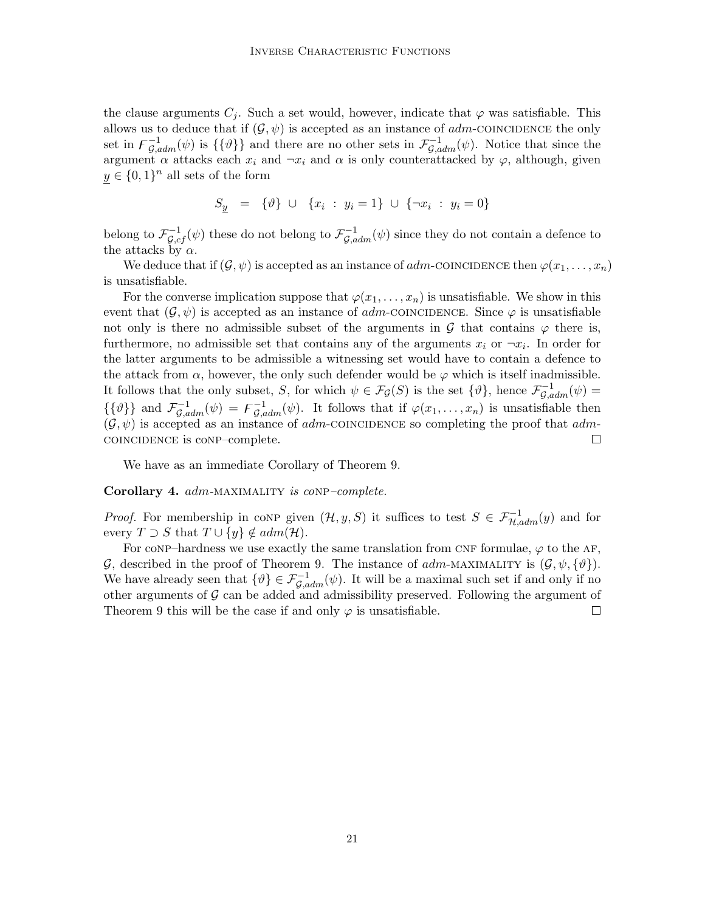the clause arguments  $C_j$ . Such a set would, however, indicate that  $\varphi$  was satisfiable. This allows us to deduce that if  $(G, \psi)$  is accepted as an instance of *adm*-COINCIDENCE the only set in  $\mathcal{F}_{\mathcal{G},adm}^{-1}(\psi)$  is  $\{\{\vartheta\}\}\$ and there are no other sets in  $\mathcal{F}_{\mathcal{G},adm}^{-1}(\psi)$ . Notice that since the argument  $\alpha$  attacks each  $x_i$  and  $\neg x_i$  and  $\alpha$  is only counterattacked by  $\varphi$ , although, given  $y \in \{0,1\}^n$  all sets of the form

$$
S_y = \{\vartheta\} \cup \{x_i : y_i = 1\} \cup \{\neg x_i : y_i = 0\}
$$

belong to  $\mathcal{F}_{\mathcal{G},cf}^{-1}(\psi)$  these do not belong to  $\mathcal{F}_{\mathcal{G},adm}^{-1}(\psi)$  since they do not contain a defence to the attacks by  $\alpha$ .

We deduce that if  $(\mathcal{G}, \psi)$  is accepted as an instance of *adm*-COINCIDENCE then  $\varphi(x_1, \ldots, x_n)$ is unsatisfiable.

For the converse implication suppose that  $\varphi(x_1, \ldots, x_n)$  is unsatisfiable. We show in this event that  $(\mathcal{G}, \psi)$  is accepted as an instance of adm-coincidence. Since  $\varphi$  is unsatisfiable not only is there no admissible subset of the arguments in  $\mathcal G$  that contains  $\varphi$  there is, furthermore, no admissible set that contains any of the arguments  $x_i$  or  $\neg x_i$ . In order for the latter arguments to be admissible a witnessing set would have to contain a defence to the attack from  $\alpha$ , however, the only such defender would be  $\varphi$  which is itself inadmissible. It follows that the only subset, S, for which  $\psi \in \mathcal{F}_{\mathcal{G}}(S)$  is the set  $\{\vartheta\}$ , hence  $\mathcal{F}_{\mathcal{G},adm}^{-1}(\psi)$  $\{\{\vartheta\}\}\$ and  $\mathcal{F}_{\mathcal{G},adm}^{-1}(\psi) = \mathcal{F}_{\mathcal{G},adm}^{-1}(\psi)$ . It follows that if  $\varphi(x_1,\ldots,x_n)$  is unsatisfiable then  $(\mathcal{G}, \psi)$  is accepted as an instance of *adm*-COINCIDENCE so completing the proof that *adm*coincidence is conp–complete.  $\Box$ 

We have as an immediate Corollary of Theorem 9.

Corollary 4. adm-MAXIMALITY is conp-complete.

*Proof.* For membership in conp given  $(\mathcal{H}, y, S)$  it suffices to test  $S \in \mathcal{F}_{\mathcal{H},adm}^{-1}(y)$  and for every  $T \supset S$  that  $T \cup \{y\} \notin adm(\mathcal{H})$ .

For conp–hardness we use exactly the same translation from CNF formulae,  $\varphi$  to the AF, G, described in the proof of Theorem 9. The instance of  $adm$ -MAXIMALITY is  $(\mathcal{G}, \psi, \{\vartheta\})$ . We have already seen that  $\{\vartheta\} \in \mathcal{F}_{\mathcal{G},adm}^{-1}(\psi)$ . It will be a maximal such set if and only if no other arguments of  $\mathcal G$  can be added and admissibility preserved. Following the argument of Theorem 9 this will be the case if and only  $\varphi$  is unsatisfiable. П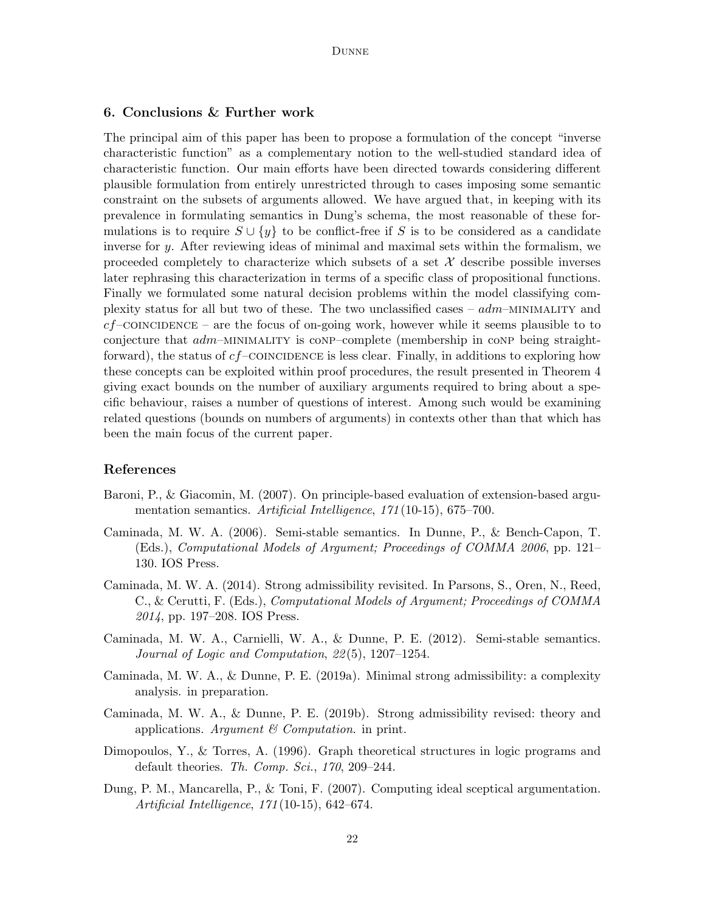## 6. Conclusions & Further work

The principal aim of this paper has been to propose a formulation of the concept "inverse characteristic function" as a complementary notion to the well-studied standard idea of characteristic function. Our main efforts have been directed towards considering different plausible formulation from entirely unrestricted through to cases imposing some semantic constraint on the subsets of arguments allowed. We have argued that, in keeping with its prevalence in formulating semantics in Dung's schema, the most reasonable of these formulations is to require  $S \cup \{y\}$  to be conflict-free if S is to be considered as a candidate inverse for y. After reviewing ideas of minimal and maximal sets within the formalism, we proceeded completely to characterize which subsets of a set  $\mathcal X$  describe possible inverses later rephrasing this characterization in terms of a specific class of propositional functions. Finally we formulated some natural decision problems within the model classifying complexity status for all but two of these. The two unclassified cases –  $adm$ –MINIMALITY and  $cf$ –COINCIDENCE – are the focus of on-going work, however while it seems plausible to to conjecture that  $adm-MINIMALITY$  is conp–complete (membership in conp being straightforward), the status of  $cf$ –COINCIDENCE is less clear. Finally, in additions to exploring how these concepts can be exploited within proof procedures, the result presented in Theorem 4 giving exact bounds on the number of auxiliary arguments required to bring about a specific behaviour, raises a number of questions of interest. Among such would be examining related questions (bounds on numbers of arguments) in contexts other than that which has been the main focus of the current paper.

### References

- Baroni, P., & Giacomin, M. (2007). On principle-based evaluation of extension-based argumentation semantics. Artificial Intelligence, 171(10-15), 675–700.
- Caminada, M. W. A. (2006). Semi-stable semantics. In Dunne, P., & Bench-Capon, T. (Eds.), Computational Models of Argument; Proceedings of COMMA 2006, pp. 121– 130. IOS Press.
- Caminada, M. W. A. (2014). Strong admissibility revisited. In Parsons, S., Oren, N., Reed, C., & Cerutti, F. (Eds.), Computational Models of Argument; Proceedings of COMMA 2014, pp. 197–208. IOS Press.
- Caminada, M. W. A., Carnielli, W. A., & Dunne, P. E. (2012). Semi-stable semantics. Journal of Logic and Computation, 22 (5), 1207–1254.
- Caminada, M. W. A., & Dunne, P. E. (2019a). Minimal strong admissibility: a complexity analysis. in preparation.
- Caminada, M. W. A., & Dunne, P. E. (2019b). Strong admissibility revised: theory and applications. Argument  $\mathcal C$  Computation. in print.
- Dimopoulos, Y., & Torres, A. (1996). Graph theoretical structures in logic programs and default theories. Th. Comp. Sci., 170, 209–244.
- Dung, P. M., Mancarella, P., & Toni, F. (2007). Computing ideal sceptical argumentation. Artificial Intelligence, 171 (10-15), 642–674.